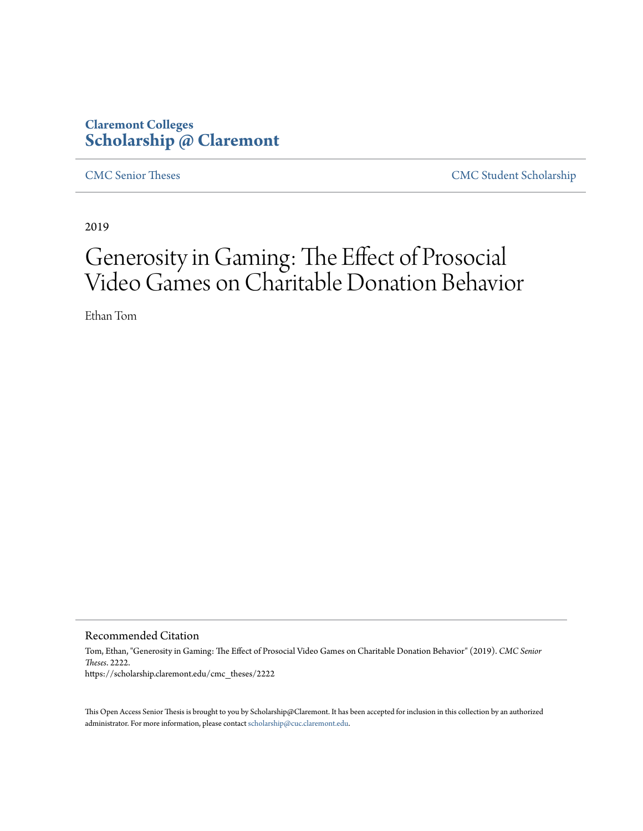# **Claremont Colleges [Scholarship @ Claremont](https://scholarship.claremont.edu)**

[CMC Senior Theses](https://scholarship.claremont.edu/cmc_theses) [CMC Student Scholarship](https://scholarship.claremont.edu/cmc_student)

2019

# Generosity in Gaming: The Effect of Prosocial Video Games on Charitable Donation Behavior

Ethan Tom

Recommended Citation

Tom, Ethan, "Generosity in Gaming: The Effect of Prosocial Video Games on Charitable Donation Behavior" (2019). *CMC Senior Theses*. 2222. https://scholarship.claremont.edu/cmc\_theses/2222

This Open Access Senior Thesis is brought to you by Scholarship@Claremont. It has been accepted for inclusion in this collection by an authorized administrator. For more information, please contact [scholarship@cuc.claremont.edu.](mailto:scholarship@cuc.claremont.edu)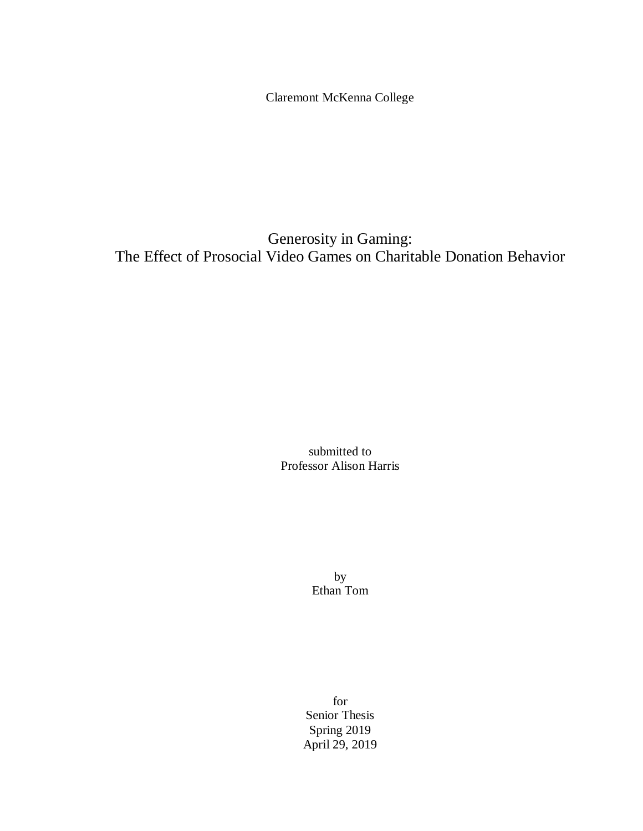Claremont McKenna College

Generosity in Gaming: The Effect of Prosocial Video Games on Charitable Donation Behavior

> submitted to Professor Alison Harris

> > by Ethan Tom

for Senior Thesis Spring 2019 April 29, 2019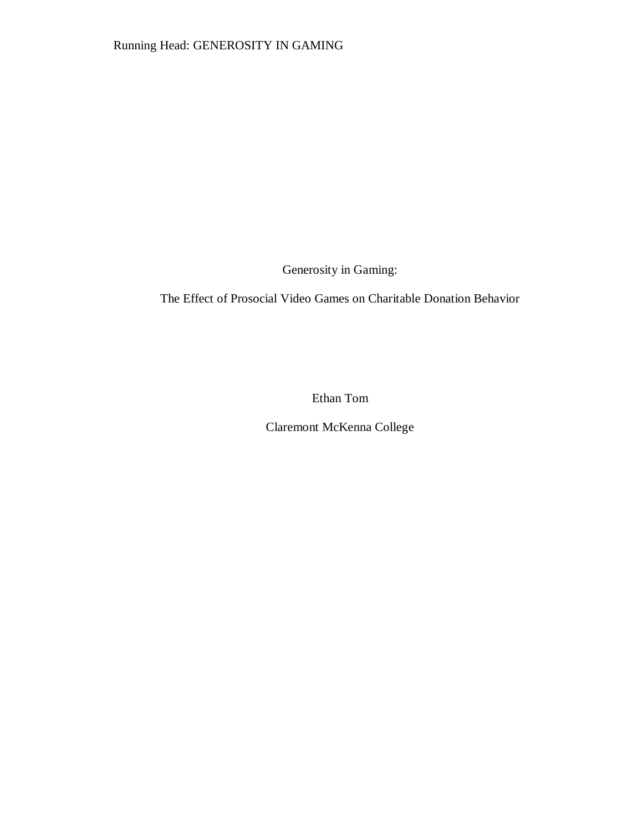Generosity in Gaming:

The Effect of Prosocial Video Games on Charitable Donation Behavior

Ethan Tom

Claremont McKenna College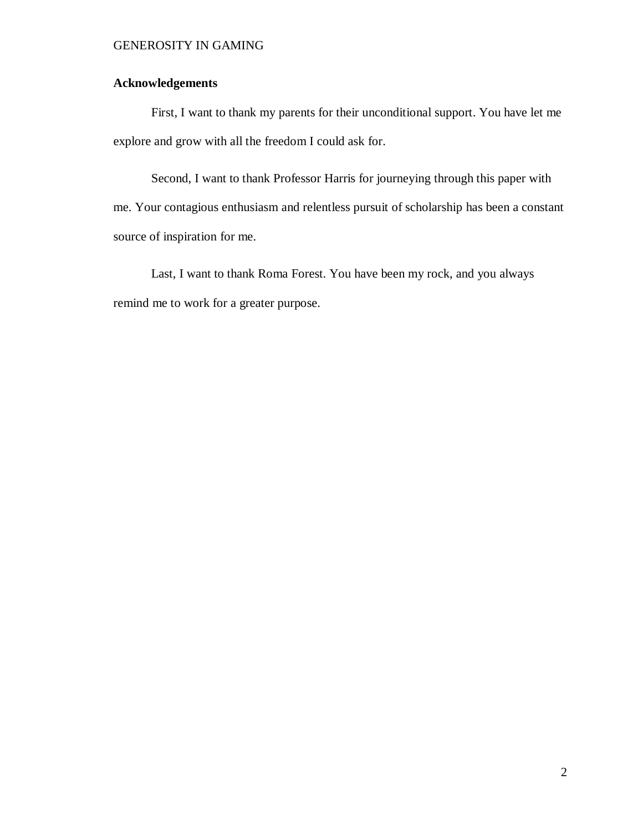## **Acknowledgements**

First, I want to thank my parents for their unconditional support. You have let me explore and grow with all the freedom I could ask for.

Second, I want to thank Professor Harris for journeying through this paper with me. Your contagious enthusiasm and relentless pursuit of scholarship has been a constant source of inspiration for me.

Last, I want to thank Roma Forest. You have been my rock, and you always remind me to work for a greater purpose.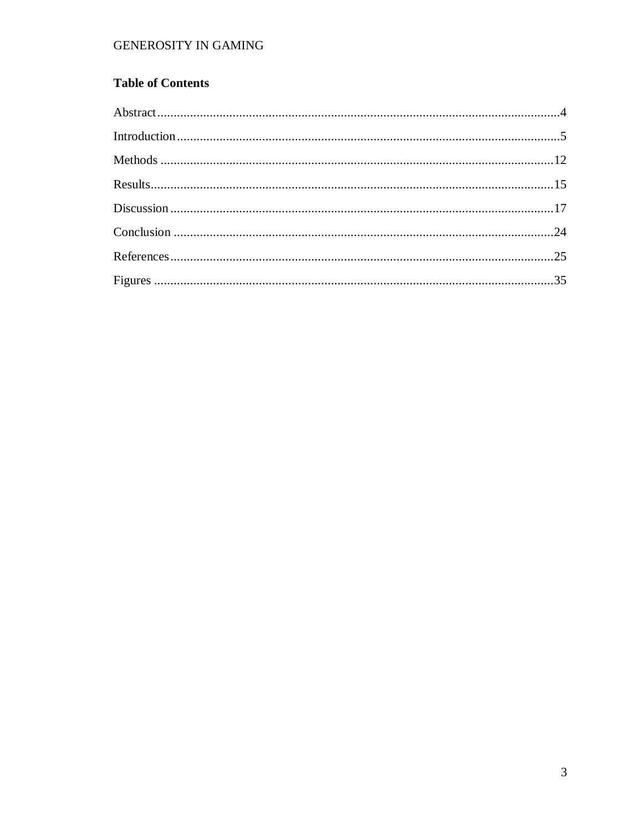# **Table of Contents**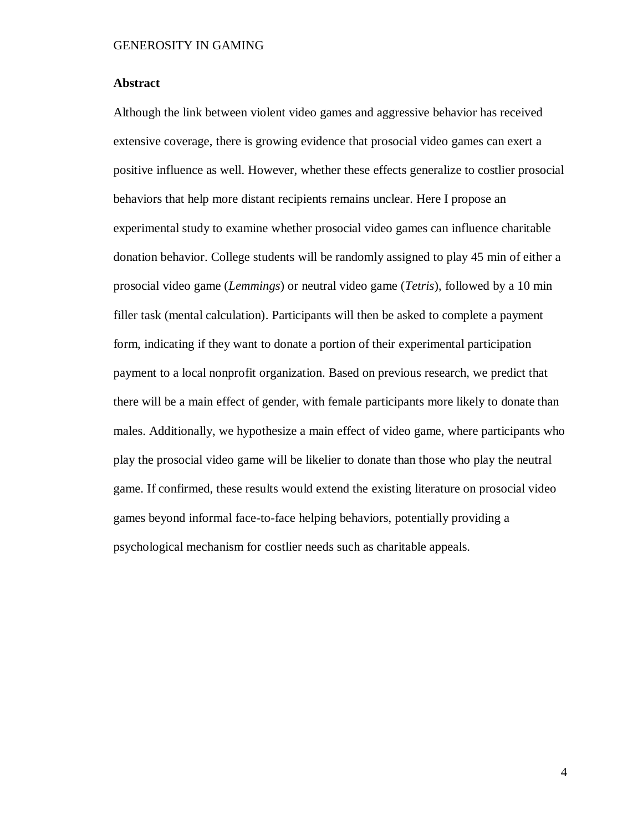#### <span id="page-6-0"></span>**Abstract**

Although the link between violent video games and aggressive behavior has received extensive coverage, there is growing evidence that prosocial video games can exert a positive influence as well. However, whether these effects generalize to costlier prosocial behaviors that help more distant recipients remains unclear. Here I propose an experimental study to examine whether prosocial video games can influence charitable donation behavior. College students will be randomly assigned to play 45 min of either a prosocial video game (*Lemmings*) or neutral video game (*Tetris*), followed by a 10 min filler task (mental calculation). Participants will then be asked to complete a payment form, indicating if they want to donate a portion of their experimental participation payment to a local nonprofit organization. Based on previous research, we predict that there will be a main effect of gender, with female participants more likely to donate than males. Additionally, we hypothesize a main effect of video game, where participants who play the prosocial video game will be likelier to donate than those who play the neutral game. If confirmed, these results would extend the existing literature on prosocial video games beyond informal face-to-face helping behaviors, potentially providing a psychological mechanism for costlier needs such as charitable appeals.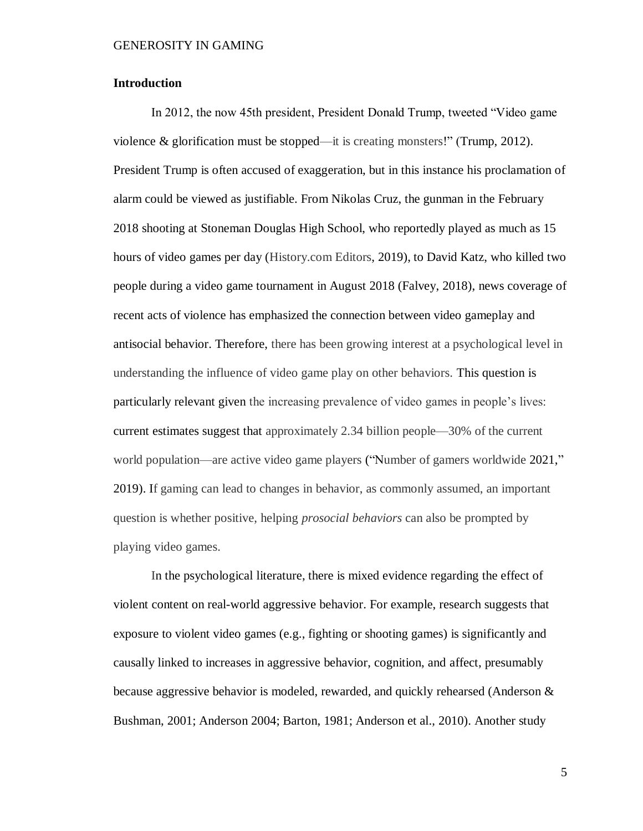#### <span id="page-7-0"></span>**Introduction**

In 2012, the now 45th president, President Donald Trump, tweeted "Video game violence  $\&$  glorification must be stopped—it is creating monsters!" (Trump, 2012). President Trump is often accused of exaggeration, but in this instance his proclamation of alarm could be viewed as justifiable. From Nikolas Cruz, the gunman in the February 2018 shooting at Stoneman Douglas High School, who reportedly played as much as 15 hours of video games per day (History.com Editors, 2019), to David Katz, who killed two people during a video game tournament in August 2018 (Falvey, 2018), news coverage of recent acts of violence has emphasized the connection between video gameplay and antisocial behavior. Therefore, there has been growing interest at a psychological level in understanding the influence of video game play on other behaviors. This question is particularly relevant given the increasing prevalence of video games in people's lives: current estimates suggest that approximately 2.34 billion people—30% of the current world population—are active video game players ("Number of gamers worldwide 2021," 2019). If gaming can lead to changes in behavior, as commonly assumed, an important question is whether positive, helping *prosocial behaviors* can also be prompted by playing video games.

In the psychological literature, there is mixed evidence regarding the effect of violent content on real-world aggressive behavior. For example, research suggests that exposure to violent video games (e.g., fighting or shooting games) is significantly and causally linked to increases in aggressive behavior, cognition, and affect, presumably because aggressive behavior is modeled, rewarded, and quickly rehearsed (Anderson & Bushman, 2001; Anderson 2004; Barton, 1981; Anderson et al., 2010). Another study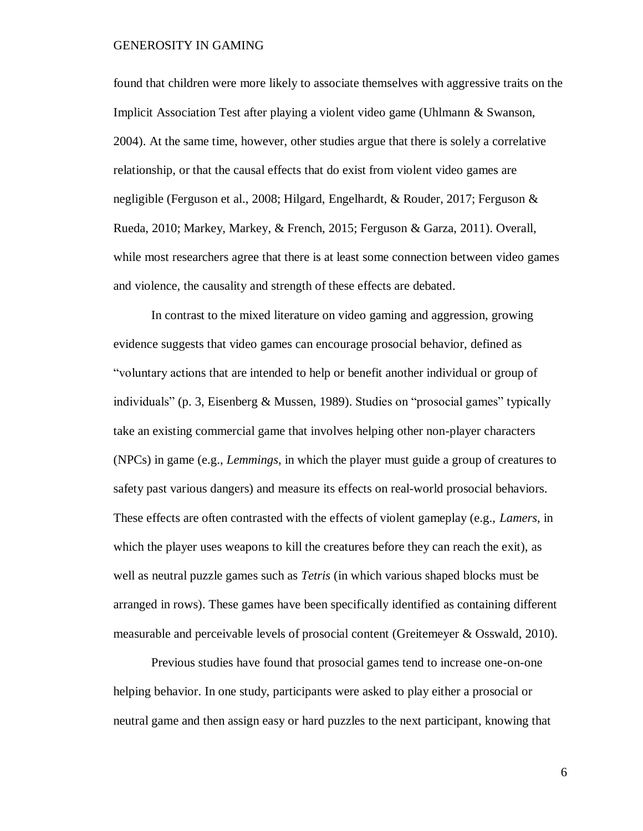found that children were more likely to associate themselves with aggressive traits on the Implicit Association Test after playing a violent video game (Uhlmann & Swanson, 2004). At the same time, however, other studies argue that there is solely a correlative relationship, or that the causal effects that do exist from violent video games are negligible (Ferguson et al., 2008; Hilgard, Engelhardt, & Rouder, 2017; Ferguson & Rueda, 2010; Markey, Markey, & French, 2015; Ferguson & Garza, 2011). Overall, while most researchers agree that there is at least some connection between video games and violence, the causality and strength of these effects are debated.

In contrast to the mixed literature on video gaming and aggression, growing evidence suggests that video games can encourage prosocial behavior, defined as "voluntary actions that are intended to help or benefit another individual or group of individuals" (p. 3, Eisenberg & Mussen, 1989). Studies on "prosocial games" typically take an existing commercial game that involves helping other non-player characters (NPCs) in game (e.g., *Lemmings*, in which the player must guide a group of creatures to safety past various dangers) and measure its effects on real-world prosocial behaviors. These effects are often contrasted with the effects of violent gameplay (e.g., *Lamers*, in which the player uses weapons to kill the creatures before they can reach the exit), as well as neutral puzzle games such as *Tetris* (in which various shaped blocks must be arranged in rows). These games have been specifically identified as containing different measurable and perceivable levels of prosocial content (Greitemeyer & Osswald, 2010).

Previous studies have found that prosocial games tend to increase one-on-one helping behavior. In one study, participants were asked to play either a prosocial or neutral game and then assign easy or hard puzzles to the next participant, knowing that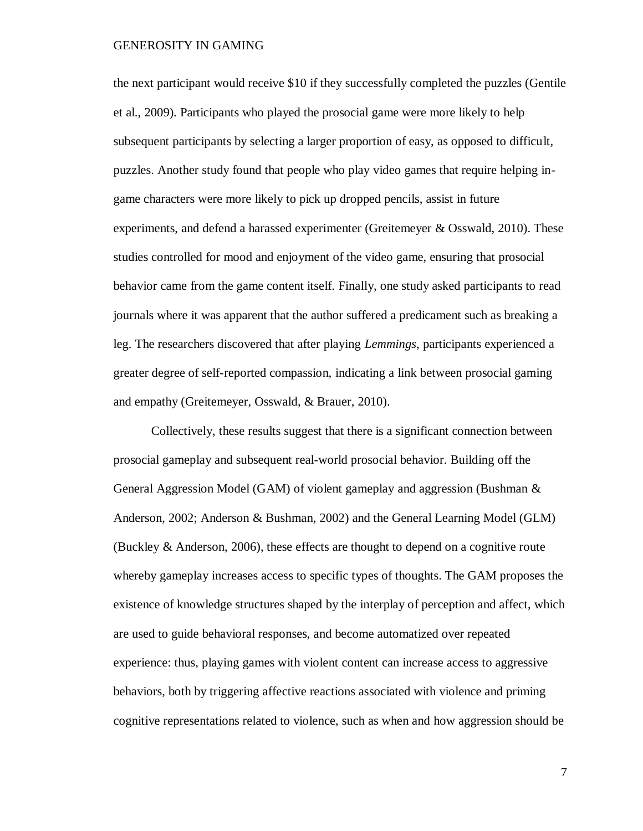the next participant would receive \$10 if they successfully completed the puzzles (Gentile et al., 2009). Participants who played the prosocial game were more likely to help subsequent participants by selecting a larger proportion of easy, as opposed to difficult, puzzles. Another study found that people who play video games that require helping ingame characters were more likely to pick up dropped pencils, assist in future experiments, and defend a harassed experimenter (Greitemeyer & Osswald, 2010). These studies controlled for mood and enjoyment of the video game, ensuring that prosocial behavior came from the game content itself. Finally, one study asked participants to read journals where it was apparent that the author suffered a predicament such as breaking a leg. The researchers discovered that after playing *Lemmings*, participants experienced a greater degree of self-reported compassion, indicating a link between prosocial gaming and empathy (Greitemeyer, Osswald, & Brauer, 2010).

Collectively, these results suggest that there is a significant connection between prosocial gameplay and subsequent real-world prosocial behavior. Building off the General Aggression Model (GAM) of violent gameplay and aggression (Bushman & Anderson, 2002; Anderson & Bushman, 2002) and the General Learning Model (GLM) (Buckley & Anderson, 2006), these effects are thought to depend on a cognitive route whereby gameplay increases access to specific types of thoughts. The GAM proposes the existence of knowledge structures shaped by the interplay of perception and affect, which are used to guide behavioral responses, and become automatized over repeated experience: thus, playing games with violent content can increase access to aggressive behaviors, both by triggering affective reactions associated with violence and priming cognitive representations related to violence, such as when and how aggression should be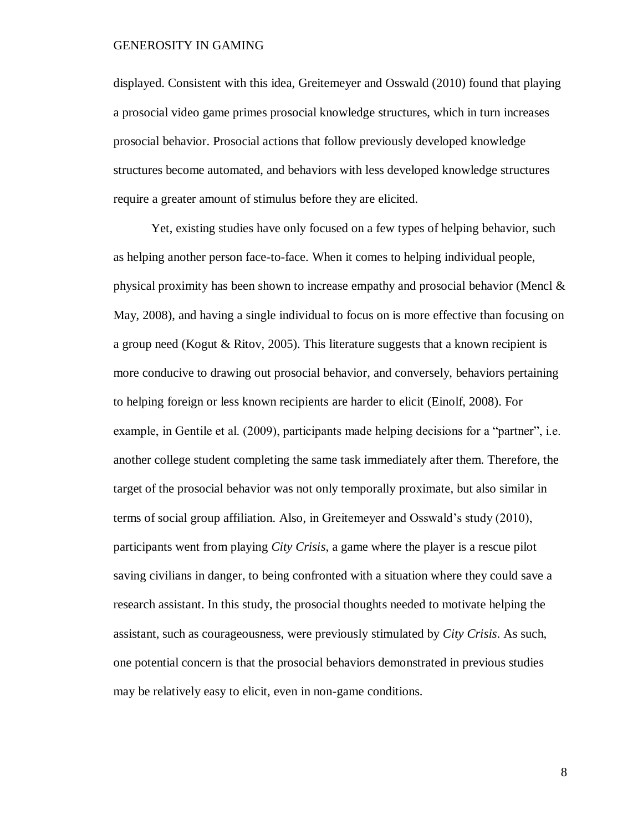displayed. Consistent with this idea, Greitemeyer and Osswald (2010) found that playing a prosocial video game primes prosocial knowledge structures, which in turn increases prosocial behavior. Prosocial actions that follow previously developed knowledge structures become automated, and behaviors with less developed knowledge structures require a greater amount of stimulus before they are elicited.

Yet, existing studies have only focused on a few types of helping behavior, such as helping another person face-to-face. When it comes to helping individual people, physical proximity has been shown to increase empathy and prosocial behavior (Mencl & May, 2008), and having a single individual to focus on is more effective than focusing on a group need (Kogut & Ritov, 2005). This literature suggests that a known recipient is more conducive to drawing out prosocial behavior, and conversely, behaviors pertaining to helping foreign or less known recipients are harder to elicit (Einolf, 2008). For example, in Gentile et al. (2009), participants made helping decisions for a "partner", i.e. another college student completing the same task immediately after them. Therefore, the target of the prosocial behavior was not only temporally proximate, but also similar in terms of social group affiliation. Also, in Greitemeyer and Osswald's study (2010), participants went from playing *City Crisis*, a game where the player is a rescue pilot saving civilians in danger, to being confronted with a situation where they could save a research assistant. In this study, the prosocial thoughts needed to motivate helping the assistant, such as courageousness, were previously stimulated by *City Crisis*. As such, one potential concern is that the prosocial behaviors demonstrated in previous studies may be relatively easy to elicit, even in non-game conditions.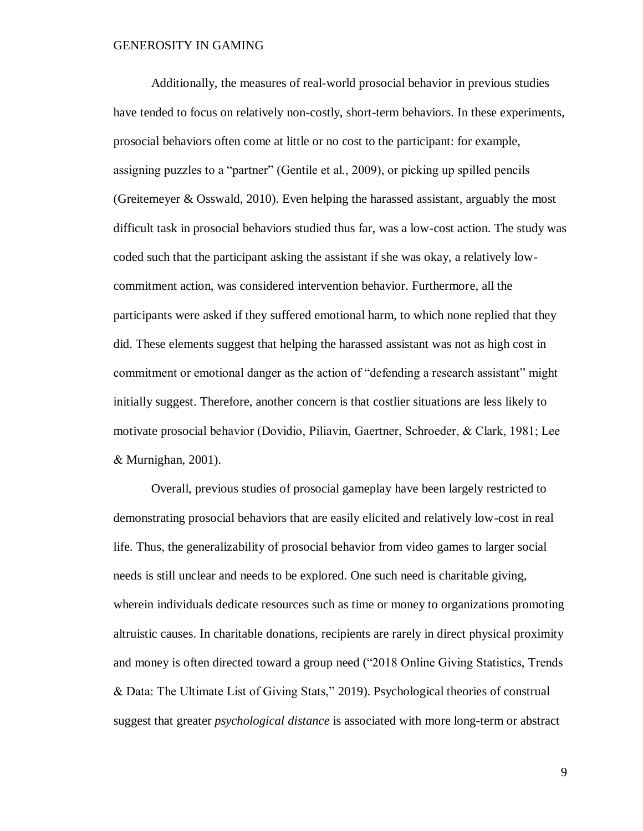Additionally, the measures of real-world prosocial behavior in previous studies have tended to focus on relatively non-costly, short-term behaviors. In these experiments, prosocial behaviors often come at little or no cost to the participant: for example, assigning puzzles to a "partner" (Gentile et al., 2009), or picking up spilled pencils (Greitemeyer & Osswald, 2010). Even helping the harassed assistant, arguably the most difficult task in prosocial behaviors studied thus far, was a low-cost action. The study was coded such that the participant asking the assistant if she was okay, a relatively lowcommitment action, was considered intervention behavior. Furthermore, all the participants were asked if they suffered emotional harm, to which none replied that they did. These elements suggest that helping the harassed assistant was not as high cost in commitment or emotional danger as the action of "defending a research assistant" might initially suggest. Therefore, another concern is that costlier situations are less likely to motivate prosocial behavior (Dovidio, Piliavin, Gaertner, Schroeder, & Clark, 1981; Lee & Murnighan, 2001).

Overall, previous studies of prosocial gameplay have been largely restricted to demonstrating prosocial behaviors that are easily elicited and relatively low-cost in real life. Thus, the generalizability of prosocial behavior from video games to larger social needs is still unclear and needs to be explored. One such need is charitable giving, wherein individuals dedicate resources such as time or money to organizations promoting altruistic causes. In charitable donations, recipients are rarely in direct physical proximity and money is often directed toward a group need ("2018 Online Giving Statistics, Trends & Data: The Ultimate List of Giving Stats," 2019). Psychological theories of construal suggest that greater *psychological distance* is associated with more long-term or abstract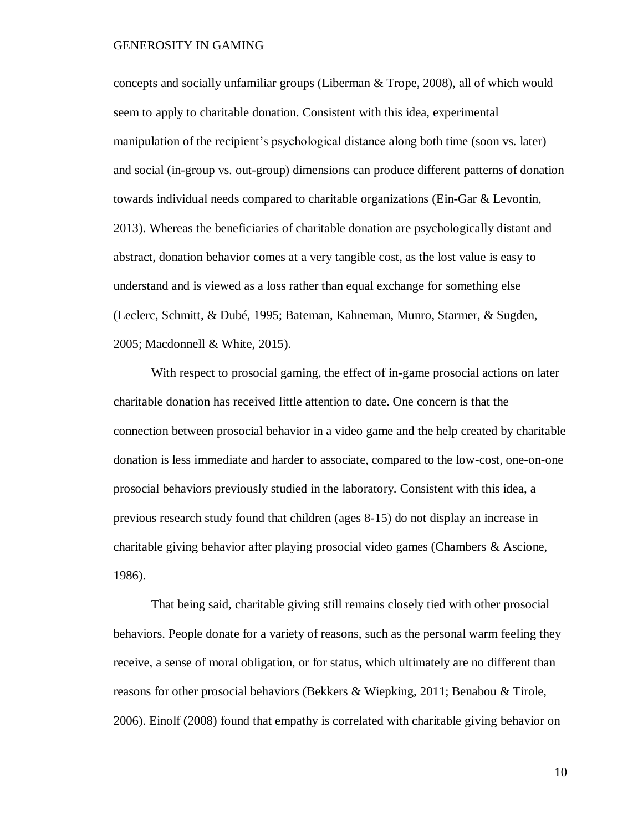concepts and socially unfamiliar groups (Liberman & Trope, 2008), all of which would seem to apply to charitable donation. Consistent with this idea, experimental manipulation of the recipient's psychological distance along both time (soon vs. later) and social (in-group vs. out-group) dimensions can produce different patterns of donation towards individual needs compared to charitable organizations (Ein-Gar & Levontin, 2013). Whereas the beneficiaries of charitable donation are psychologically distant and abstract, donation behavior comes at a very tangible cost, as the lost value is easy to understand and is viewed as a loss rather than equal exchange for something else (Leclerc, Schmitt, & Dubé, 1995; Bateman, Kahneman, Munro, Starmer, & Sugden, 2005; Macdonnell & White, 2015).

With respect to prosocial gaming, the effect of in-game prosocial actions on later charitable donation has received little attention to date. One concern is that the connection between prosocial behavior in a video game and the help created by charitable donation is less immediate and harder to associate, compared to the low-cost, one-on-one prosocial behaviors previously studied in the laboratory. Consistent with this idea, a previous research study found that children (ages 8-15) do not display an increase in charitable giving behavior after playing prosocial video games (Chambers & Ascione, 1986).

That being said, charitable giving still remains closely tied with other prosocial behaviors. People donate for a variety of reasons, such as the personal warm feeling they receive, a sense of moral obligation, or for status, which ultimately are no different than reasons for other prosocial behaviors (Bekkers & Wiepking, 2011; Benabou & Tirole, 2006). Einolf (2008) found that empathy is correlated with charitable giving behavior on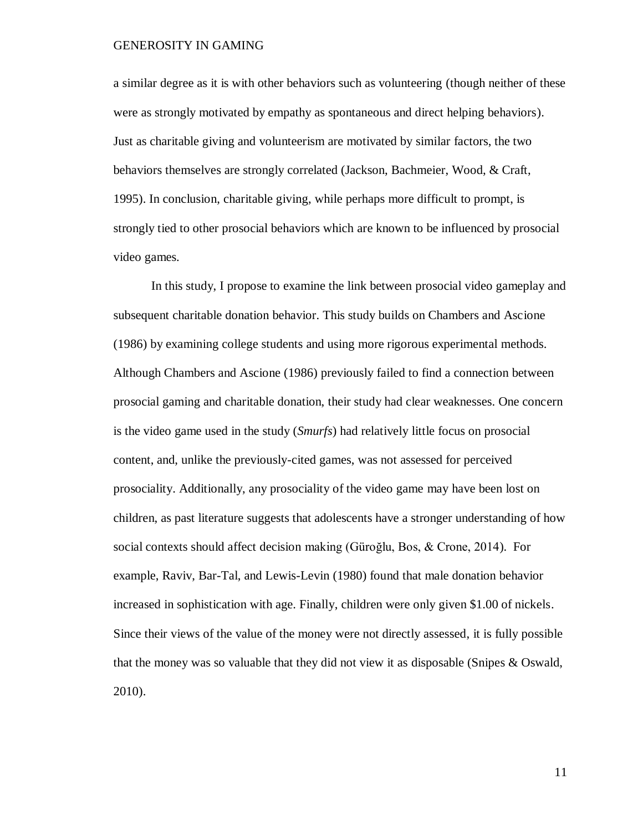a similar degree as it is with other behaviors such as volunteering (though neither of these were as strongly motivated by empathy as spontaneous and direct helping behaviors). Just as charitable giving and volunteerism are motivated by similar factors, the two behaviors themselves are strongly correlated (Jackson, Bachmeier, Wood, & Craft, 1995). In conclusion, charitable giving, while perhaps more difficult to prompt, is strongly tied to other prosocial behaviors which are known to be influenced by prosocial video games.

In this study, I propose to examine the link between prosocial video gameplay and subsequent charitable donation behavior. This study builds on Chambers and Ascione (1986) by examining college students and using more rigorous experimental methods. Although Chambers and Ascione (1986) previously failed to find a connection between prosocial gaming and charitable donation, their study had clear weaknesses. One concern is the video game used in the study (*Smurfs*) had relatively little focus on prosocial content, and, unlike the previously-cited games, was not assessed for perceived prosociality. Additionally, any prosociality of the video game may have been lost on children, as past literature suggests that adolescents have a stronger understanding of how social contexts should affect decision making (Güroğlu, Bos, & Crone, 2014). For example, Raviv, Bar-Tal, and Lewis-Levin (1980) found that male donation behavior increased in sophistication with age. Finally, children were only given \$1.00 of nickels. Since their views of the value of the money were not directly assessed, it is fully possible that the money was so valuable that they did not view it as disposable (Snipes & Oswald, 2010).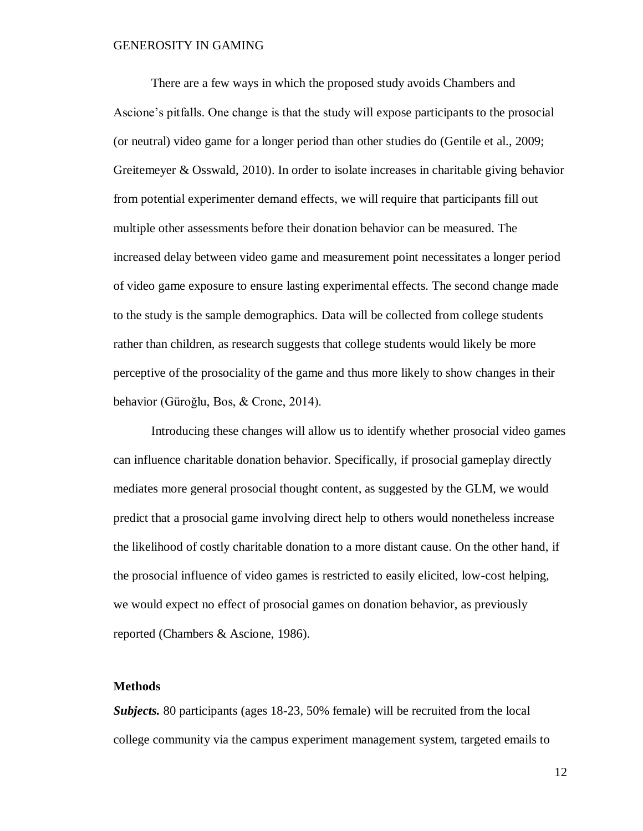There are a few ways in which the proposed study avoids Chambers and Ascione's pitfalls. One change is that the study will expose participants to the prosocial (or neutral) video game for a longer period than other studies do (Gentile et al., 2009; Greitemeyer & Osswald, 2010). In order to isolate increases in charitable giving behavior from potential experimenter demand effects, we will require that participants fill out multiple other assessments before their donation behavior can be measured. The increased delay between video game and measurement point necessitates a longer period of video game exposure to ensure lasting experimental effects. The second change made to the study is the sample demographics. Data will be collected from college students rather than children, as research suggests that college students would likely be more perceptive of the prosociality of the game and thus more likely to show changes in their behavior (Güroğlu, Bos, & Crone, 2014).

Introducing these changes will allow us to identify whether prosocial video games can influence charitable donation behavior. Specifically, if prosocial gameplay directly mediates more general prosocial thought content, as suggested by the GLM, we would predict that a prosocial game involving direct help to others would nonetheless increase the likelihood of costly charitable donation to a more distant cause. On the other hand, if the prosocial influence of video games is restricted to easily elicited, low-cost helping, we would expect no effect of prosocial games on donation behavior, as previously reported (Chambers & Ascione, 1986).

#### <span id="page-14-0"></span>**Methods**

*Subjects.* 80 participants (ages 18-23, 50% female) will be recruited from the local college community via the campus experiment management system, targeted emails to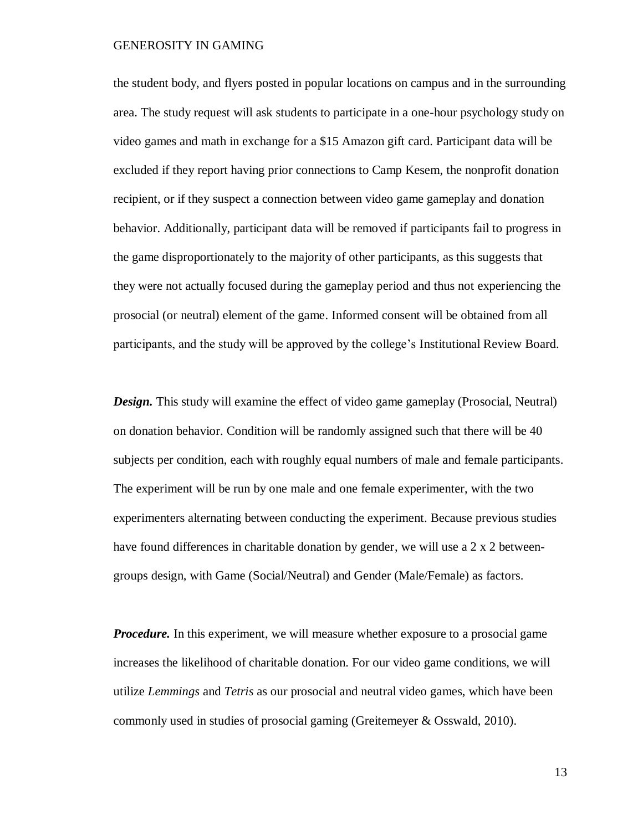the student body, and flyers posted in popular locations on campus and in the surrounding area. The study request will ask students to participate in a one-hour psychology study on video games and math in exchange for a \$15 Amazon gift card. Participant data will be excluded if they report having prior connections to Camp Kesem, the nonprofit donation recipient, or if they suspect a connection between video game gameplay and donation behavior. Additionally, participant data will be removed if participants fail to progress in the game disproportionately to the majority of other participants, as this suggests that they were not actually focused during the gameplay period and thus not experiencing the prosocial (or neutral) element of the game. Informed consent will be obtained from all participants, and the study will be approved by the college's Institutional Review Board.

*Design.* This study will examine the effect of video game gameplay (Prosocial, Neutral) on donation behavior. Condition will be randomly assigned such that there will be 40 subjects per condition, each with roughly equal numbers of male and female participants. The experiment will be run by one male and one female experimenter, with the two experimenters alternating between conducting the experiment. Because previous studies have found differences in charitable donation by gender, we will use a 2 x 2 betweengroups design, with Game (Social/Neutral) and Gender (Male/Female) as factors.

*Procedure.* In this experiment, we will measure whether exposure to a prosocial game increases the likelihood of charitable donation. For our video game conditions, we will utilize *Lemmings* and *Tetris* as our prosocial and neutral video games, which have been commonly used in studies of prosocial gaming (Greitemeyer & Osswald, 2010).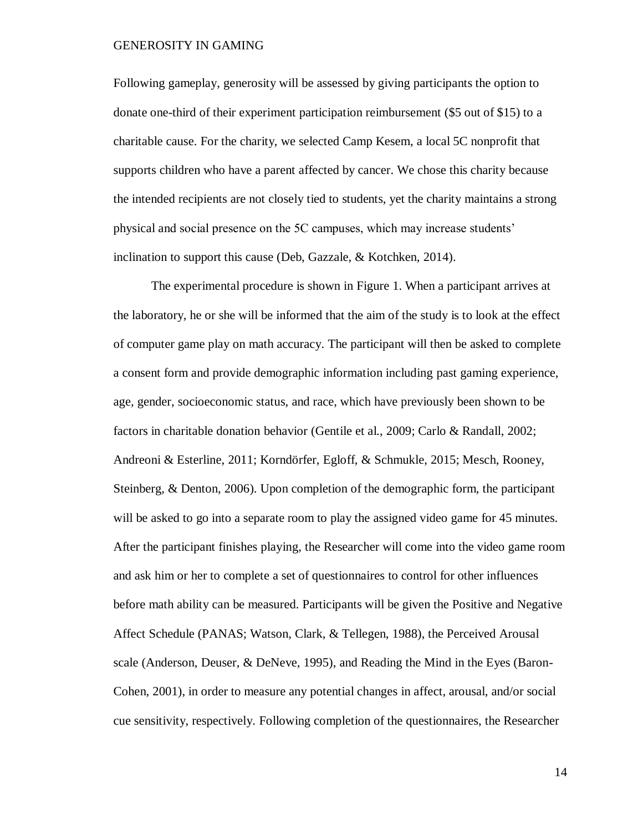Following gameplay, generosity will be assessed by giving participants the option to donate one-third of their experiment participation reimbursement (\$5 out of \$15) to a charitable cause. For the charity, we selected Camp Kesem, a local 5C nonprofit that supports children who have a parent affected by cancer. We chose this charity because the intended recipients are not closely tied to students, yet the charity maintains a strong physical and social presence on the 5C campuses, which may increase students' inclination to support this cause (Deb, Gazzale, & Kotchken, 2014).

The experimental procedure is shown in Figure 1. When a participant arrives at the laboratory, he or she will be informed that the aim of the study is to look at the effect of computer game play on math accuracy. The participant will then be asked to complete a consent form and provide demographic information including past gaming experience, age, gender, socioeconomic status, and race, which have previously been shown to be factors in charitable donation behavior (Gentile et al., 2009; Carlo & Randall, 2002; Andreoni & Esterline, 2011; Korndörfer, Egloff, & Schmukle, 2015; Mesch, Rooney, Steinberg, & Denton, 2006). Upon completion of the demographic form, the participant will be asked to go into a separate room to play the assigned video game for 45 minutes. After the participant finishes playing, the Researcher will come into the video game room and ask him or her to complete a set of questionnaires to control for other influences before math ability can be measured. Participants will be given the Positive and Negative Affect Schedule (PANAS; Watson, Clark, & Tellegen, 1988), the Perceived Arousal scale (Anderson, Deuser, & DeNeve, 1995), and Reading the Mind in the Eyes (Baron-Cohen, 2001), in order to measure any potential changes in affect, arousal, and/or social cue sensitivity, respectively. Following completion of the questionnaires, the Researcher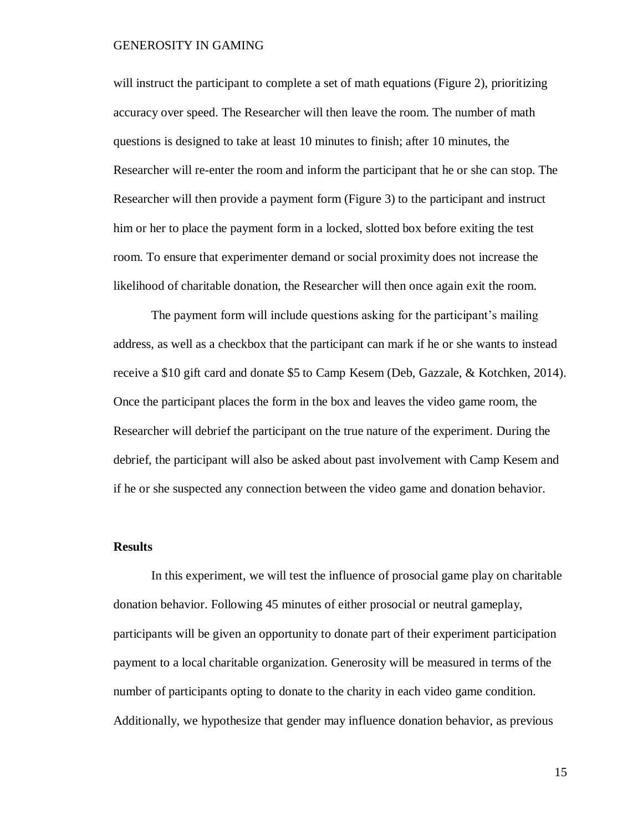will instruct the participant to complete a set of math equations (Figure 2), prioritizing accuracy over speed. The Researcher will then leave the room. The number of math questions is designed to take at least 10 minutes to finish; after 10 minutes, the Researcher will re-enter the room and inform the participant that he or she can stop. The Researcher will then provide a payment form (Figure 3) to the participant and instruct him or her to place the payment form in a locked, slotted box before exiting the test room. To ensure that experimenter demand or social proximity does not increase the likelihood of charitable donation, the Researcher will then once again exit the room.

The payment form will include questions asking for the participant's mailing address, as well as a checkbox that the participant can mark if he or she wants to instead receive a \$10 gift card and donate \$5 to Camp Kesem (Deb, Gazzale, & Kotchken, 2014). Once the participant places the form in the box and leaves the video game room, the Researcher will debrief the participant on the true nature of the experiment. During the debrief, the participant will also be asked about past involvement with Camp Kesem and if he or she suspected any connection between the video game and donation behavior.

#### <span id="page-17-0"></span>**Results**

In this experiment, we will test the influence of prosocial game play on charitable donation behavior. Following 45 minutes of either prosocial or neutral gameplay, participants will be given an opportunity to donate part of their experiment participation payment to a local charitable organization. Generosity will be measured in terms of the number of participants opting to donate to the charity in each video game condition. Additionally, we hypothesize that gender may influence donation behavior, as previous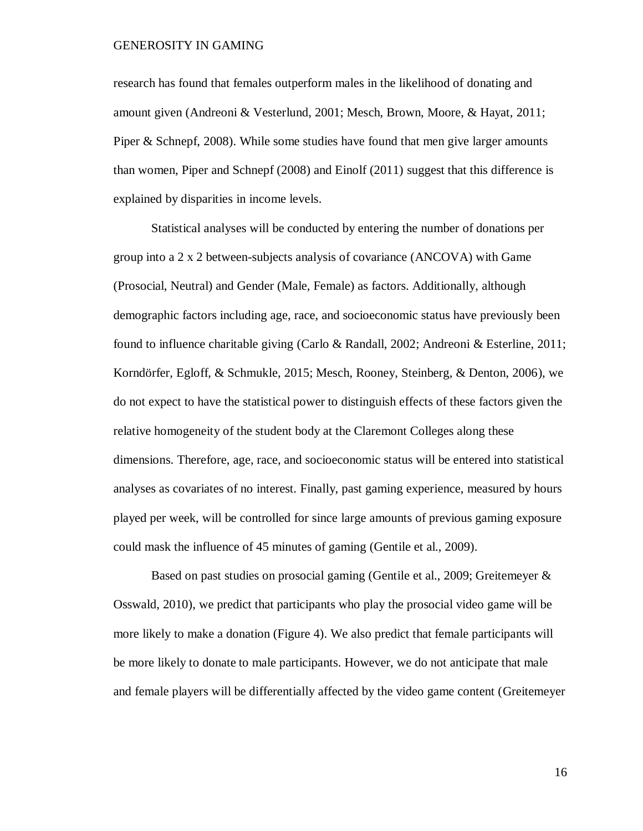research has found that females outperform males in the likelihood of donating and amount given (Andreoni & Vesterlund, 2001; Mesch, Brown, Moore, & Hayat, 2011; Piper & Schnepf, 2008). While some studies have found that men give larger amounts than women, Piper and Schnepf (2008) and Einolf (2011) suggest that this difference is explained by disparities in income levels.

Statistical analyses will be conducted by entering the number of donations per group into a 2 x 2 between-subjects analysis of covariance (ANCOVA) with Game (Prosocial, Neutral) and Gender (Male, Female) as factors. Additionally, although demographic factors including age, race, and socioeconomic status have previously been found to influence charitable giving (Carlo & Randall, 2002; Andreoni & Esterline, 2011; Korndörfer, Egloff, & Schmukle, 2015; Mesch, Rooney, Steinberg, & Denton, 2006), we do not expect to have the statistical power to distinguish effects of these factors given the relative homogeneity of the student body at the Claremont Colleges along these dimensions. Therefore, age, race, and socioeconomic status will be entered into statistical analyses as covariates of no interest. Finally, past gaming experience, measured by hours played per week, will be controlled for since large amounts of previous gaming exposure could mask the influence of 45 minutes of gaming (Gentile et al., 2009).

Based on past studies on prosocial gaming (Gentile et al., 2009; Greitemeyer & Osswald, 2010), we predict that participants who play the prosocial video game will be more likely to make a donation (Figure 4). We also predict that female participants will be more likely to donate to male participants. However, we do not anticipate that male and female players will be differentially affected by the video game content (Greitemeyer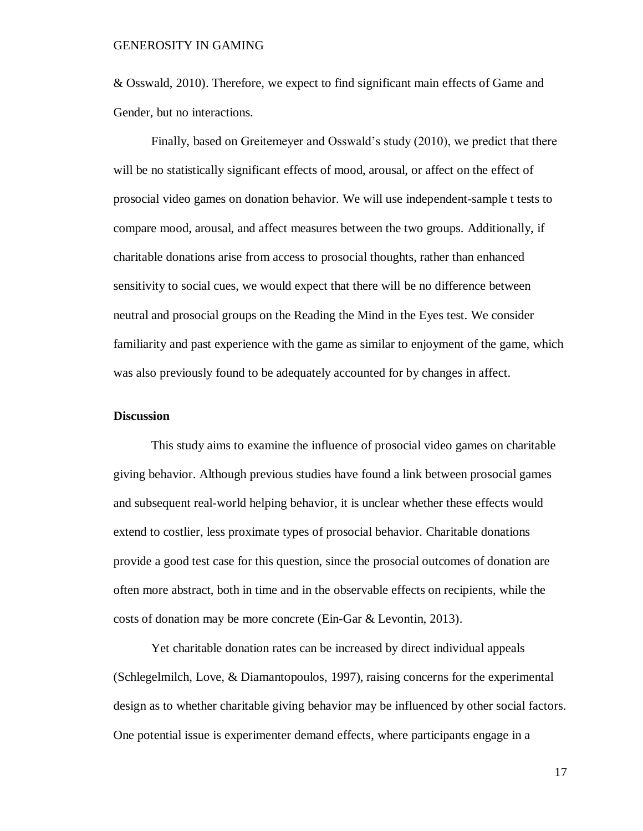& Osswald, 2010). Therefore, we expect to find significant main effects of Game and Gender, but no interactions.

Finally, based on Greitemeyer and Osswald's study (2010), we predict that there will be no statistically significant effects of mood, arousal, or affect on the effect of prosocial video games on donation behavior. We will use independent-sample t tests to compare mood, arousal, and affect measures between the two groups. Additionally, if charitable donations arise from access to prosocial thoughts, rather than enhanced sensitivity to social cues, we would expect that there will be no difference between neutral and prosocial groups on the Reading the Mind in the Eyes test. We consider familiarity and past experience with the game as similar to enjoyment of the game, which was also previously found to be adequately accounted for by changes in affect.

#### <span id="page-19-0"></span>**Discussion**

This study aims to examine the influence of prosocial video games on charitable giving behavior. Although previous studies have found a link between prosocial games and subsequent real-world helping behavior, it is unclear whether these effects would extend to costlier, less proximate types of prosocial behavior. Charitable donations provide a good test case for this question, since the prosocial outcomes of donation are often more abstract, both in time and in the observable effects on recipients, while the costs of donation may be more concrete (Ein-Gar & Levontin, 2013).

Yet charitable donation rates can be increased by direct individual appeals (Schlegelmilch, Love, & Diamantopoulos, 1997), raising concerns for the experimental design as to whether charitable giving behavior may be influenced by other social factors. One potential issue is experimenter demand effects, where participants engage in a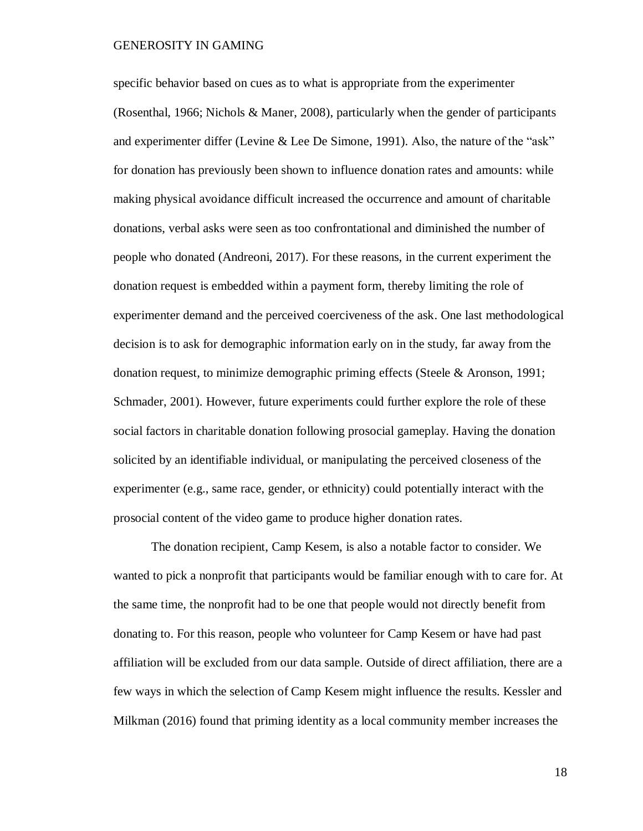specific behavior based on cues as to what is appropriate from the experimenter (Rosenthal, 1966; Nichols & Maner, 2008), particularly when the gender of participants and experimenter differ (Levine & Lee De Simone, 1991). Also, the nature of the "ask" for donation has previously been shown to influence donation rates and amounts: while making physical avoidance difficult increased the occurrence and amount of charitable donations, verbal asks were seen as too confrontational and diminished the number of people who donated (Andreoni, 2017). For these reasons, in the current experiment the donation request is embedded within a payment form, thereby limiting the role of experimenter demand and the perceived coerciveness of the ask. One last methodological decision is to ask for demographic information early on in the study, far away from the donation request, to minimize demographic priming effects (Steele & Aronson, 1991; Schmader, 2001). However, future experiments could further explore the role of these social factors in charitable donation following prosocial gameplay. Having the donation solicited by an identifiable individual, or manipulating the perceived closeness of the experimenter (e.g., same race, gender, or ethnicity) could potentially interact with the prosocial content of the video game to produce higher donation rates.

The donation recipient, Camp Kesem, is also a notable factor to consider. We wanted to pick a nonprofit that participants would be familiar enough with to care for. At the same time, the nonprofit had to be one that people would not directly benefit from donating to. For this reason, people who volunteer for Camp Kesem or have had past affiliation will be excluded from our data sample. Outside of direct affiliation, there are a few ways in which the selection of Camp Kesem might influence the results. Kessler and Milkman (2016) found that priming identity as a local community member increases the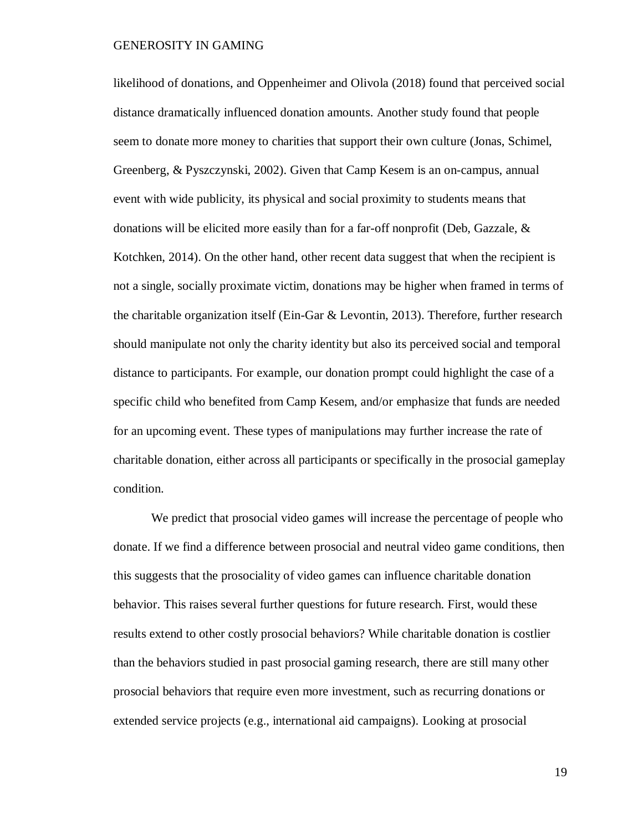likelihood of donations, and Oppenheimer and Olivola (2018) found that perceived social distance dramatically influenced donation amounts. Another study found that people seem to donate more money to charities that support their own culture (Jonas, Schimel, Greenberg, & Pyszczynski, 2002). Given that Camp Kesem is an on-campus, annual event with wide publicity, its physical and social proximity to students means that donations will be elicited more easily than for a far-off nonprofit (Deb, Gazzale, & Kotchken, 2014). On the other hand, other recent data suggest that when the recipient is not a single, socially proximate victim, donations may be higher when framed in terms of the charitable organization itself (Ein-Gar & Levontin, 2013). Therefore, further research should manipulate not only the charity identity but also its perceived social and temporal distance to participants. For example, our donation prompt could highlight the case of a specific child who benefited from Camp Kesem, and/or emphasize that funds are needed for an upcoming event. These types of manipulations may further increase the rate of charitable donation, either across all participants or specifically in the prosocial gameplay condition.

We predict that prosocial video games will increase the percentage of people who donate. If we find a difference between prosocial and neutral video game conditions, then this suggests that the prosociality of video games can influence charitable donation behavior. This raises several further questions for future research. First, would these results extend to other costly prosocial behaviors? While charitable donation is costlier than the behaviors studied in past prosocial gaming research, there are still many other prosocial behaviors that require even more investment, such as recurring donations or extended service projects (e.g., international aid campaigns). Looking at prosocial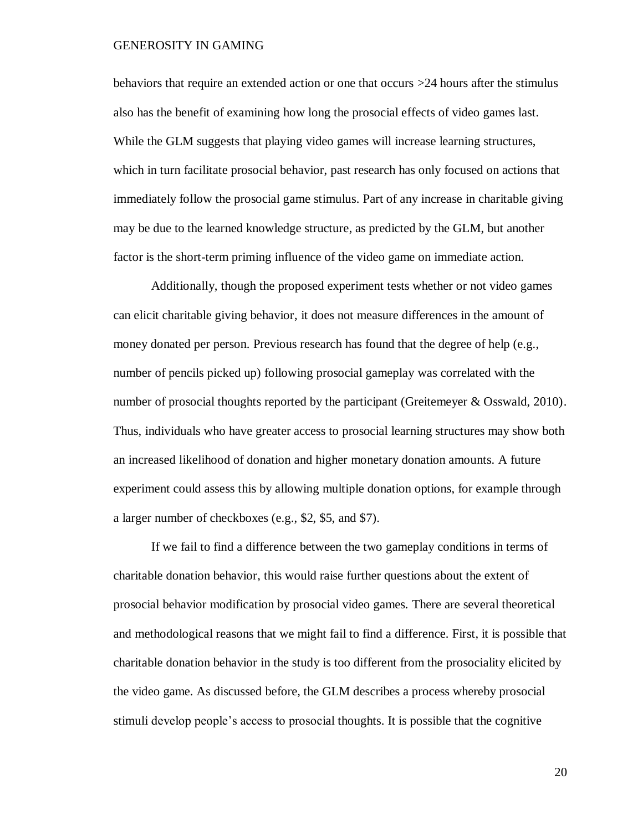behaviors that require an extended action or one that occurs >24 hours after the stimulus also has the benefit of examining how long the prosocial effects of video games last. While the GLM suggests that playing video games will increase learning structures, which in turn facilitate prosocial behavior, past research has only focused on actions that immediately follow the prosocial game stimulus. Part of any increase in charitable giving may be due to the learned knowledge structure, as predicted by the GLM, but another factor is the short-term priming influence of the video game on immediate action.

Additionally, though the proposed experiment tests whether or not video games can elicit charitable giving behavior, it does not measure differences in the amount of money donated per person. Previous research has found that the degree of help (e.g., number of pencils picked up) following prosocial gameplay was correlated with the number of prosocial thoughts reported by the participant (Greitemeyer & Osswald, 2010). Thus, individuals who have greater access to prosocial learning structures may show both an increased likelihood of donation and higher monetary donation amounts. A future experiment could assess this by allowing multiple donation options, for example through a larger number of checkboxes (e.g., \$2, \$5, and \$7).

If we fail to find a difference between the two gameplay conditions in terms of charitable donation behavior, this would raise further questions about the extent of prosocial behavior modification by prosocial video games. There are several theoretical and methodological reasons that we might fail to find a difference. First, it is possible that charitable donation behavior in the study is too different from the prosociality elicited by the video game. As discussed before, the GLM describes a process whereby prosocial stimuli develop people's access to prosocial thoughts. It is possible that the cognitive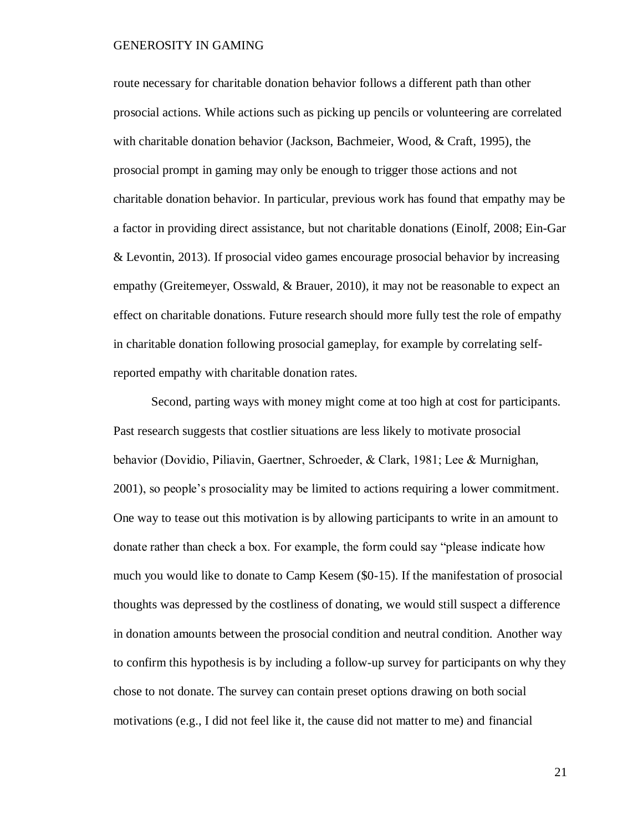route necessary for charitable donation behavior follows a different path than other prosocial actions. While actions such as picking up pencils or volunteering are correlated with charitable donation behavior (Jackson, Bachmeier, Wood, & Craft, 1995), the prosocial prompt in gaming may only be enough to trigger those actions and not charitable donation behavior. In particular, previous work has found that empathy may be a factor in providing direct assistance, but not charitable donations (Einolf, 2008; Ein-Gar & Levontin, 2013). If prosocial video games encourage prosocial behavior by increasing empathy (Greitemeyer, Osswald, & Brauer, 2010), it may not be reasonable to expect an effect on charitable donations. Future research should more fully test the role of empathy in charitable donation following prosocial gameplay, for example by correlating selfreported empathy with charitable donation rates.

Second, parting ways with money might come at too high at cost for participants. Past research suggests that costlier situations are less likely to motivate prosocial behavior (Dovidio, Piliavin, Gaertner, Schroeder, & Clark, 1981; Lee & Murnighan, 2001), so people's prosociality may be limited to actions requiring a lower commitment. One way to tease out this motivation is by allowing participants to write in an amount to donate rather than check a box. For example, the form could say "please indicate how much you would like to donate to Camp Kesem (\$0-15). If the manifestation of prosocial thoughts was depressed by the costliness of donating, we would still suspect a difference in donation amounts between the prosocial condition and neutral condition. Another way to confirm this hypothesis is by including a follow-up survey for participants on why they chose to not donate. The survey can contain preset options drawing on both social motivations (e.g., I did not feel like it, the cause did not matter to me) and financial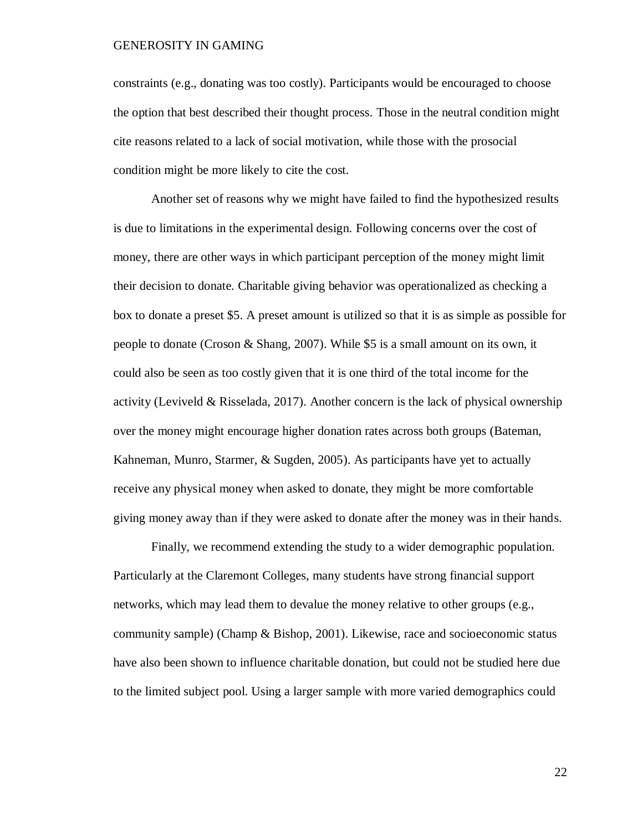constraints (e.g., donating was too costly). Participants would be encouraged to choose the option that best described their thought process. Those in the neutral condition might cite reasons related to a lack of social motivation, while those with the prosocial condition might be more likely to cite the cost.

Another set of reasons why we might have failed to find the hypothesized results is due to limitations in the experimental design. Following concerns over the cost of money, there are other ways in which participant perception of the money might limit their decision to donate. Charitable giving behavior was operationalized as checking a box to donate a preset \$5. A preset amount is utilized so that it is as simple as possible for people to donate (Croson & Shang, 2007). While \$5 is a small amount on its own, it could also be seen as too costly given that it is one third of the total income for the activity (Leviveld & Risselada, 2017). Another concern is the lack of physical ownership over the money might encourage higher donation rates across both groups (Bateman, Kahneman, Munro, Starmer, & Sugden, 2005). As participants have yet to actually receive any physical money when asked to donate, they might be more comfortable giving money away than if they were asked to donate after the money was in their hands.

Finally, we recommend extending the study to a wider demographic population. Particularly at the Claremont Colleges, many students have strong financial support networks, which may lead them to devalue the money relative to other groups (e.g., community sample) (Champ & Bishop, 2001). Likewise, race and socioeconomic status have also been shown to influence charitable donation, but could not be studied here due to the limited subject pool. Using a larger sample with more varied demographics could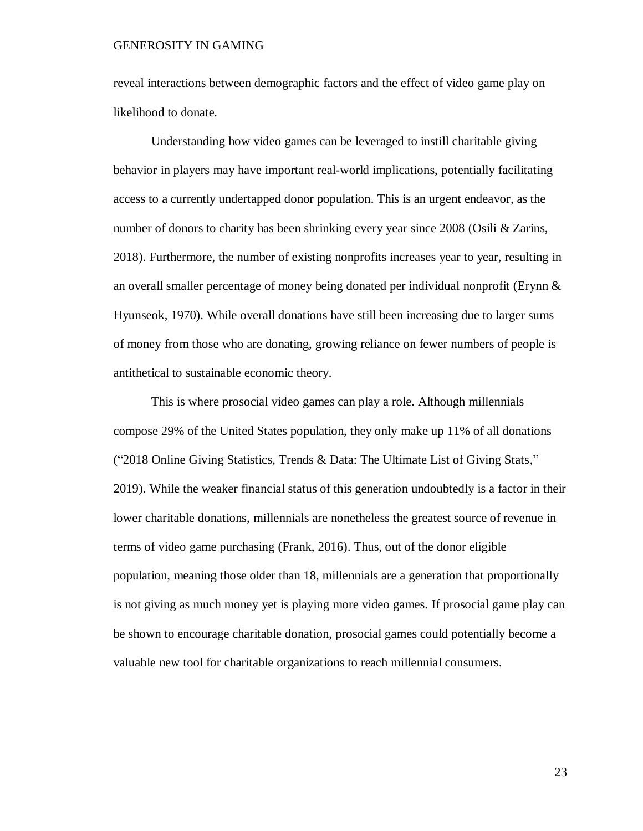reveal interactions between demographic factors and the effect of video game play on likelihood to donate.

Understanding how video games can be leveraged to instill charitable giving behavior in players may have important real-world implications, potentially facilitating access to a currently undertapped donor population. This is an urgent endeavor, as the number of donors to charity has been shrinking every year since 2008 (Osili & Zarins, 2018). Furthermore, the number of existing nonprofits increases year to year, resulting in an overall smaller percentage of money being donated per individual nonprofit (Erynn  $\&$ Hyunseok, 1970). While overall donations have still been increasing due to larger sums of money from those who are donating, growing reliance on fewer numbers of people is antithetical to sustainable economic theory.

<span id="page-25-0"></span>This is where prosocial video games can play a role. Although millennials compose 29% of the United States population, they only make up 11% of all donations ("2018 Online Giving Statistics, Trends & Data: The Ultimate List of Giving Stats," 2019). While the weaker financial status of this generation undoubtedly is a factor in their lower charitable donations, millennials are nonetheless the greatest source of revenue in terms of video game purchasing (Frank, 2016). Thus, out of the donor eligible population, meaning those older than 18, millennials are a generation that proportionally is not giving as much money yet is playing more video games. If prosocial game play can be shown to encourage charitable donation, prosocial games could potentially become a valuable new tool for charitable organizations to reach millennial consumers.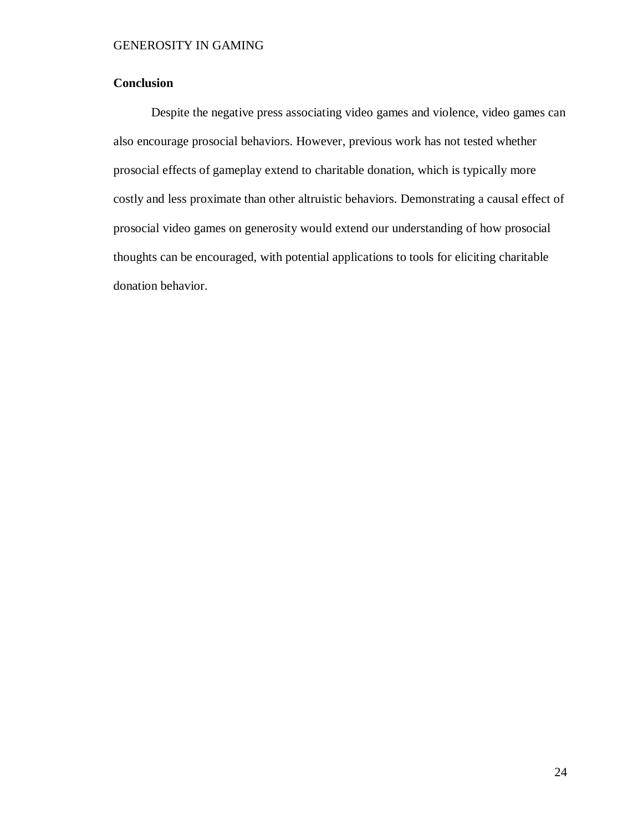## **Conclusion**

Despite the negative press associating video games and violence, video games can also encourage prosocial behaviors. However, previous work has not tested whether prosocial effects of gameplay extend to charitable donation, which is typically more costly and less proximate than other altruistic behaviors. Demonstrating a causal effect of prosocial video games on generosity would extend our understanding of how prosocial thoughts can be encouraged, with potential applications to tools for eliciting charitable donation behavior.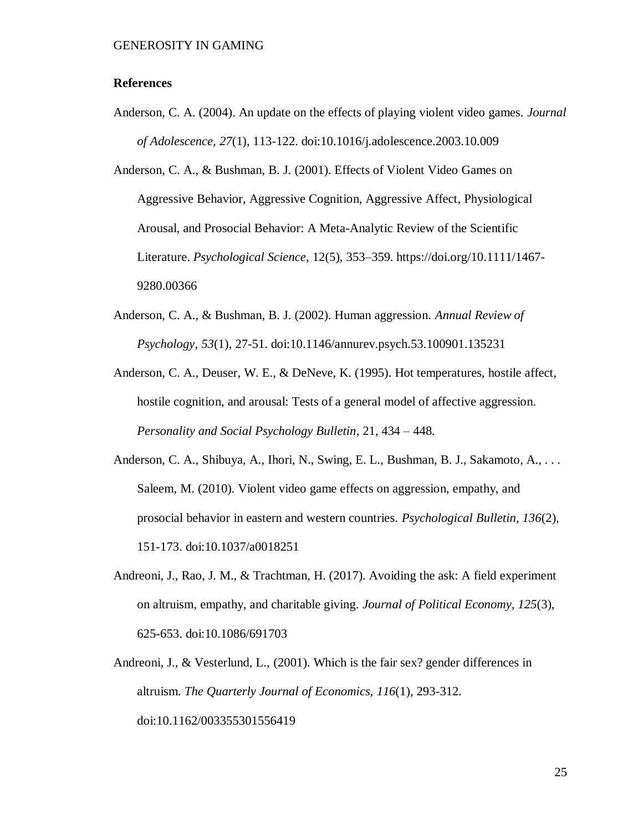#### <span id="page-27-0"></span>**References**

Anderson, C. A. (2004). An update on the effects of playing violent video games. *Journal of Adolescence, 27*(1), 113-122. doi:10.1016/j.adolescence.2003.10.009

Anderson, C. A., & Bushman, B. J. (2001). Effects of Violent Video Games on Aggressive Behavior, Aggressive Cognition, Aggressive Affect, Physiological Arousal, and Prosocial Behavior: A Meta-Analytic Review of the Scientific Literature. *Psychological Science*, 12(5), 353–359. https://doi.org/10.1111/1467- 9280.00366

- Anderson, C. A., & Bushman, B. J. (2002). Human aggression. *Annual Review of Psychology, 53*(1), 27-51. doi:10.1146/annurev.psych.53.100901.135231
- Anderson, C. A., Deuser, W. E., & DeNeve, K. (1995). Hot temperatures, hostile affect, hostile cognition, and arousal: Tests of a general model of affective aggression. *Personality and Social Psychology Bulletin*, 21, 434 – 448.
- Anderson, C. A., Shibuya, A., Ihori, N., Swing, E. L., Bushman, B. J., Sakamoto, A., . . . Saleem, M. (2010). Violent video game effects on aggression, empathy, and prosocial behavior in eastern and western countries. *Psychological Bulletin, 136*(2), 151-173. doi:10.1037/a0018251
- Andreoni, J., Rao, J. M., & Trachtman, H. (2017). Avoiding the ask: A field experiment on altruism, empathy, and charitable giving. *Journal of Political Economy, 125*(3), 625-653. doi:10.1086/691703
- Andreoni, J., & Vesterlund, L., (2001). Which is the fair sex? gender differences in altruism. *The Quarterly Journal of Economics, 116*(1), 293-312. doi:10.1162/003355301556419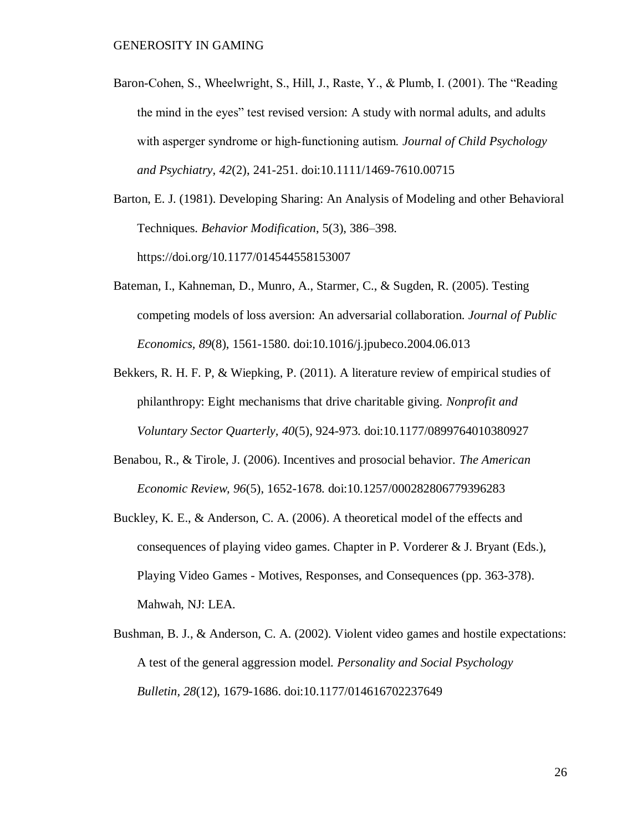Baron-Cohen, S., Wheelwright, S., Hill, J., Raste, Y., & Plumb, I. (2001). The "Reading the mind in the eyes" test revised version: A study with normal adults, and adults with asperger syndrome or high‐functioning autism. *Journal of Child Psychology and Psychiatry, 42*(2), 241-251. doi:10.1111/1469-7610.00715

Barton, E. J. (1981). Developing Sharing: An Analysis of Modeling and other Behavioral Techniques. *Behavior Modification*, 5(3), 386–398. https://doi.org/10.1177/014544558153007

- Bateman, I., Kahneman, D., Munro, A., Starmer, C., & Sugden, R. (2005). Testing competing models of loss aversion: An adversarial collaboration. *Journal of Public Economics, 89*(8), 1561-1580. doi:10.1016/j.jpubeco.2004.06.013
- Bekkers, R. H. F. P, & Wiepking, P. (2011). A literature review of empirical studies of philanthropy: Eight mechanisms that drive charitable giving. *Nonprofit and Voluntary Sector Quarterly, 40*(5), 924-973. doi:10.1177/0899764010380927
- Benabou, R., & Tirole, J. (2006). Incentives and prosocial behavior. *The American Economic Review, 96*(5), 1652-1678. doi:10.1257/000282806779396283
- Buckley, K. E., & Anderson, C. A. (2006). A theoretical model of the effects and consequences of playing video games. Chapter in P. Vorderer & J. Bryant (Eds.), Playing Video Games - Motives, Responses, and Consequences (pp. 363-378). Mahwah, NJ: LEA.
- Bushman, B. J., & Anderson, C. A. (2002). Violent video games and hostile expectations: A test of the general aggression model. *Personality and Social Psychology Bulletin, 28*(12), 1679-1686. doi:10.1177/014616702237649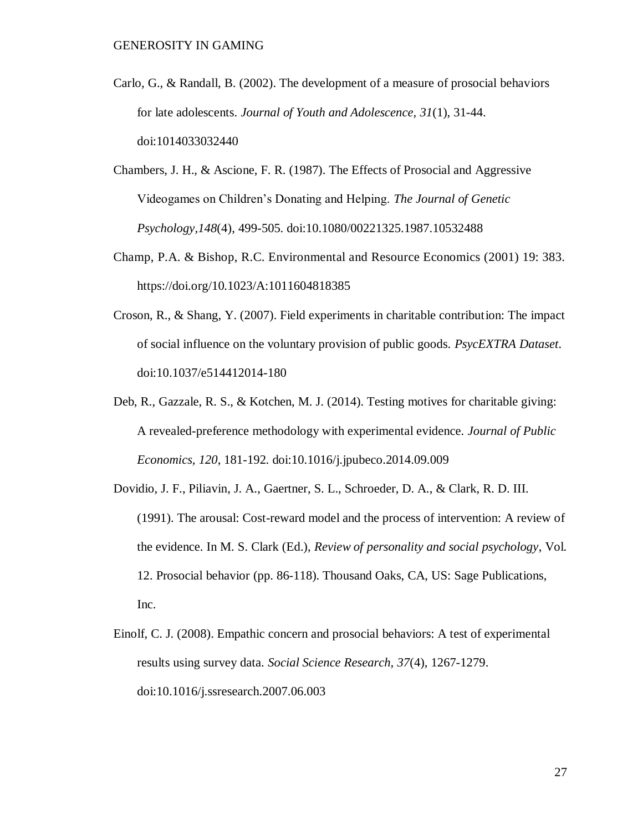- Carlo, G., & Randall, B. (2002). The development of a measure of prosocial behaviors for late adolescents. *Journal of Youth and Adolescence, 31*(1), 31-44. doi:1014033032440
- Chambers, J. H., & Ascione, F. R. (1987). The Effects of Prosocial and Aggressive Videogames on Children's Donating and Helping. *The Journal of Genetic Psychology,148*(4), 499-505. doi:10.1080/00221325.1987.10532488
- Champ, P.A. & Bishop, R.C. Environmental and Resource Economics (2001) 19: 383. https://doi.org/10.1023/A:1011604818385
- Croson, R., & Shang, Y. (2007). Field experiments in charitable contribution: The impact of social influence on the voluntary provision of public goods. *PsycEXTRA Dataset*. doi:10.1037/e514412014-180
- Deb, R., Gazzale, R. S., & Kotchen, M. J. (2014). Testing motives for charitable giving: A revealed-preference methodology with experimental evidence. *Journal of Public Economics, 120*, 181-192. doi:10.1016/j.jpubeco.2014.09.009
- Dovidio, J. F., Piliavin, J. A., Gaertner, S. L., Schroeder, D. A., & Clark, R. D. III. (1991). The arousal: Cost-reward model and the process of intervention: A review of the evidence. In M. S. Clark (Ed.), *Review of personality and social psychology*, Vol. 12. Prosocial behavior (pp. 86-118). Thousand Oaks, CA, US: Sage Publications, Inc.
- Einolf, C. J. (2008). Empathic concern and prosocial behaviors: A test of experimental results using survey data. *Social Science Research, 37*(4), 1267-1279. doi:10.1016/j.ssresearch.2007.06.003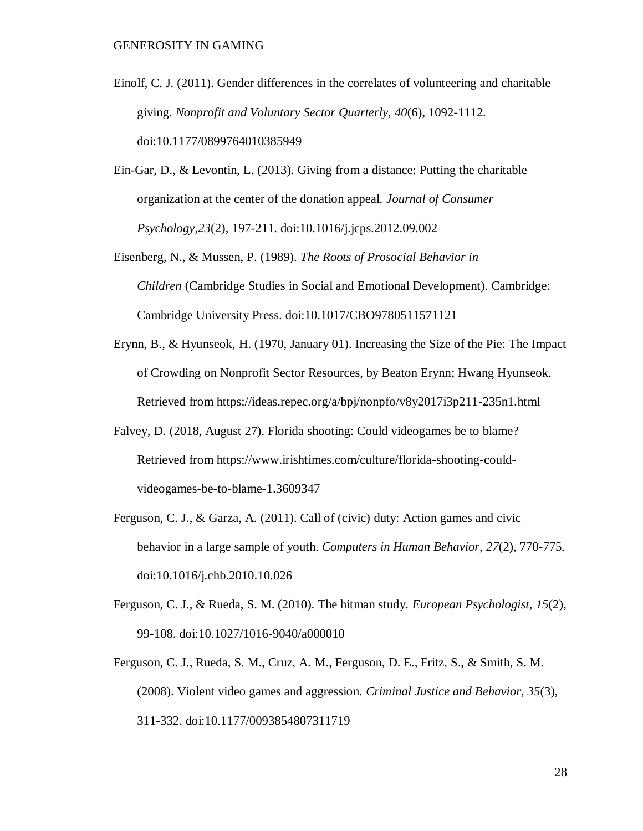- Einolf, C. J. (2011). Gender differences in the correlates of volunteering and charitable giving. *Nonprofit and Voluntary Sector Quarterly, 40*(6), 1092-1112. doi:10.1177/0899764010385949
- Ein-Gar, D., & Levontin, L. (2013). Giving from a distance: Putting the charitable organization at the center of the donation appeal. *Journal of Consumer Psychology,23*(2), 197-211. doi:10.1016/j.jcps.2012.09.002
- Eisenberg, N., & Mussen, P. (1989). *The Roots of Prosocial Behavior in Children* (Cambridge Studies in Social and Emotional Development). Cambridge: Cambridge University Press. doi:10.1017/CBO9780511571121
- Erynn, B., & Hyunseok, H. (1970, January 01). Increasing the Size of the Pie: The Impact of Crowding on Nonprofit Sector Resources, by Beaton Erynn; Hwang Hyunseok. Retrieved from https://ideas.repec.org/a/bpj/nonpfo/v8y2017i3p211-235n1.html
- Falvey, D. (2018, August 27). Florida shooting: Could videogames be to blame? Retrieved from https://www.irishtimes.com/culture/florida-shooting-couldvideogames-be-to-blame-1.3609347
- Ferguson, C. J., & Garza, A. (2011). Call of (civic) duty: Action games and civic behavior in a large sample of youth. *Computers in Human Behavior, 27*(2), 770-775. doi:10.1016/j.chb.2010.10.026
- Ferguson, C. J., & Rueda, S. M. (2010). The hitman study. *European Psychologist, 15*(2), 99-108. doi:10.1027/1016-9040/a000010
- Ferguson, C. J., Rueda, S. M., Cruz, A. M., Ferguson, D. E., Fritz, S., & Smith, S. M. (2008). Violent video games and aggression. *Criminal Justice and Behavior, 35*(3), 311-332. doi:10.1177/0093854807311719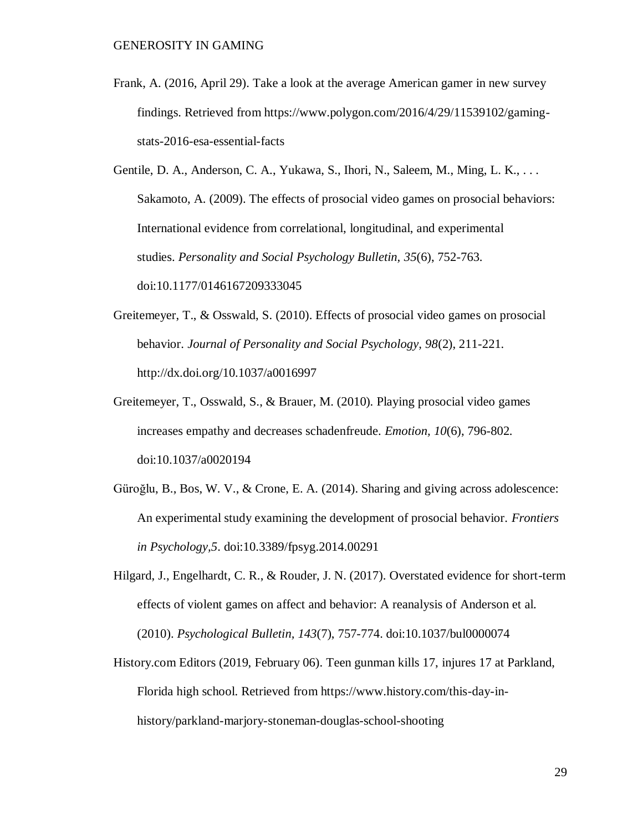Frank, A. (2016, April 29). Take a look at the average American gamer in new survey findings. Retrieved from https://www.polygon.com/2016/4/29/11539102/gamingstats-2016-esa-essential-facts

Gentile, D. A., Anderson, C. A., Yukawa, S., Ihori, N., Saleem, M., Ming, L. K., . . . Sakamoto, A. (2009). The effects of prosocial video games on prosocial behaviors: International evidence from correlational, longitudinal, and experimental studies. *Personality and Social Psychology Bulletin, 35*(6), 752-763. doi:10.1177/0146167209333045

- Greitemeyer, T., & Osswald, S. (2010). Effects of prosocial video games on prosocial behavior. *Journal of Personality and Social Psychology, 98*(2), 211-221. http://dx.doi.org/10.1037/a0016997
- Greitemeyer, T., Osswald, S., & Brauer, M. (2010). Playing prosocial video games increases empathy and decreases schadenfreude. *Emotion, 10*(6), 796-802. doi:10.1037/a0020194
- Güroğlu, B., Bos, W. V., & Crone, E. A. (2014). Sharing and giving across adolescence: An experimental study examining the development of prosocial behavior. *Frontiers in Psychology,5*. doi:10.3389/fpsyg.2014.00291
- Hilgard, J., Engelhardt, C. R., & Rouder, J. N. (2017). Overstated evidence for short-term effects of violent games on affect and behavior: A reanalysis of Anderson et al. (2010). *Psychological Bulletin, 143*(7), 757-774. doi:10.1037/bul0000074
- History.com Editors (2019, February 06). Teen gunman kills 17, injures 17 at Parkland, Florida high school. Retrieved from https://www.history.com/this-day-inhistory/parkland-marjory-stoneman-douglas-school-shooting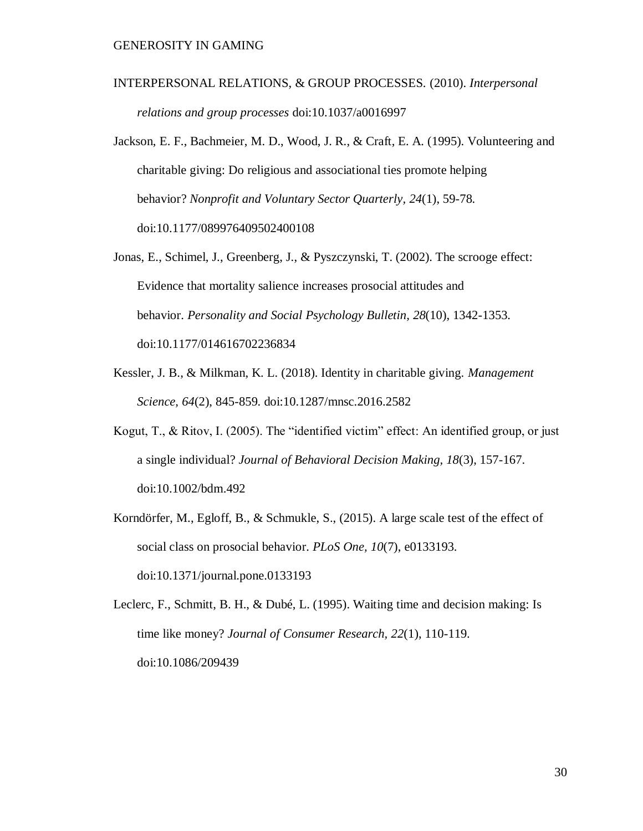- INTERPERSONAL RELATIONS, & GROUP PROCESSES. (2010). *Interpersonal relations and group processes* doi:10.1037/a0016997
- Jackson, E. F., Bachmeier, M. D., Wood, J. R., & Craft, E. A. (1995). Volunteering and charitable giving: Do religious and associational ties promote helping behavior? *Nonprofit and Voluntary Sector Quarterly, 24*(1), 59-78. doi:10.1177/089976409502400108
- Jonas, E., Schimel, J., Greenberg, J., & Pyszczynski, T. (2002). The scrooge effect: Evidence that mortality salience increases prosocial attitudes and behavior. *Personality and Social Psychology Bulletin, 28*(10), 1342-1353. doi:10.1177/014616702236834
- Kessler, J. B., & Milkman, K. L. (2018). Identity in charitable giving. *Management Science, 64*(2), 845-859. doi:10.1287/mnsc.2016.2582
- Kogut, T., & Ritov, I. (2005). The "identified victim" effect: An identified group, or just a single individual? *Journal of Behavioral Decision Making, 18*(3), 157-167. doi:10.1002/bdm.492
- Korndörfer, M., Egloff, B., & Schmukle, S., (2015). A large scale test of the effect of social class on prosocial behavior. *PLoS One, 10*(7), e0133193. doi:10.1371/journal.pone.0133193

Leclerc, F., Schmitt, B. H., & Dubé, L. (1995). Waiting time and decision making: Is time like money? *Journal of Consumer Research, 22*(1), 110-119. doi:10.1086/209439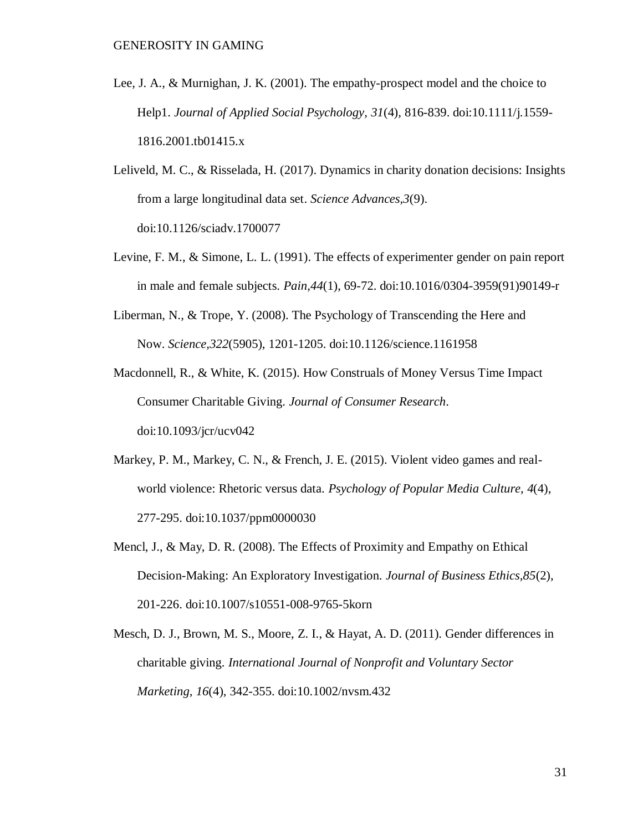- Lee, J. A., & Murnighan, J. K. (2001). The empathy-prospect model and the choice to Help1. *Journal of Applied Social Psychology, 31*(4), 816-839. doi:10.1111/j.1559- 1816.2001.tb01415.x
- Leliveld, M. C., & Risselada, H. (2017). Dynamics in charity donation decisions: Insights from a large longitudinal data set. *Science Advances,3*(9). doi:10.1126/sciadv.1700077
- Levine, F. M., & Simone, L. L. (1991). The effects of experimenter gender on pain report in male and female subjects. *Pain,44*(1), 69-72. doi:10.1016/0304-3959(91)90149-r
- Liberman, N., & Trope, Y. (2008). The Psychology of Transcending the Here and Now. *Science,322*(5905), 1201-1205. doi:10.1126/science.1161958
- Macdonnell, R., & White, K. (2015). How Construals of Money Versus Time Impact Consumer Charitable Giving. *Journal of Consumer Research*. doi:10.1093/jcr/ucv042
- Markey, P. M., Markey, C. N., & French, J. E. (2015). Violent video games and realworld violence: Rhetoric versus data. *Psychology of Popular Media Culture, 4*(4), 277-295. doi:10.1037/ppm0000030
- Mencl, J., & May, D. R. (2008). The Effects of Proximity and Empathy on Ethical Decision-Making: An Exploratory Investigation. *Journal of Business Ethics,85*(2), 201-226. doi:10.1007/s10551-008-9765-5korn
- Mesch, D. J., Brown, M. S., Moore, Z. I., & Hayat, A. D. (2011). Gender differences in charitable giving. *International Journal of Nonprofit and Voluntary Sector Marketing, 16*(4), 342-355. doi:10.1002/nvsm.432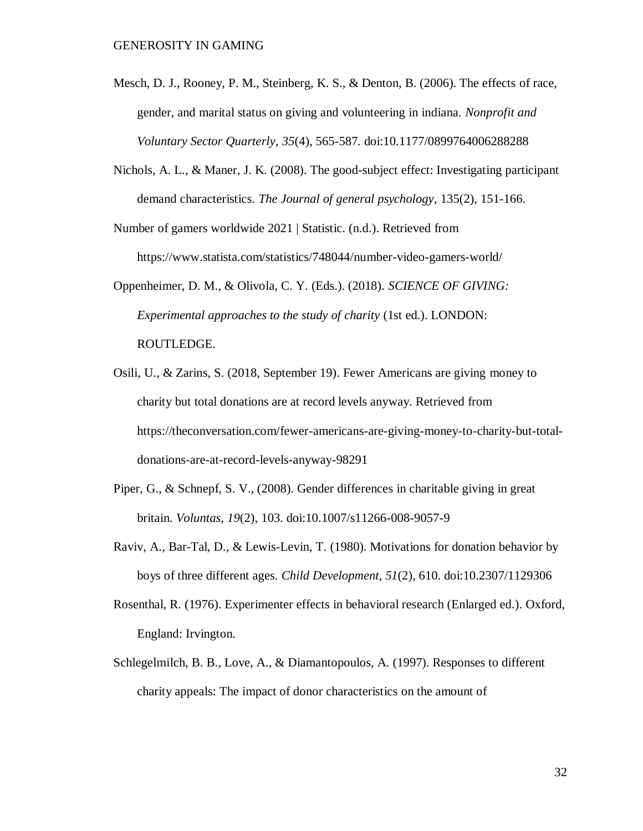- Mesch, D. J., Rooney, P. M., Steinberg, K. S., & Denton, B. (2006). The effects of race, gender, and marital status on giving and volunteering in indiana. *Nonprofit and Voluntary Sector Quarterly, 35*(4), 565-587. doi:10.1177/0899764006288288
- Nichols, A. L., & Maner, J. K. (2008). The good-subject effect: Investigating participant demand characteristics. *The Journal of general psychology*, 135(2), 151-166.

Number of gamers worldwide 2021 | Statistic. (n.d.). Retrieved from https://www.statista.com/statistics/748044/number-video-gamers-world/

Oppenheimer, D. M., & Olivola, C. Y. (Eds.). (2018). *SCIENCE OF GIVING: Experimental approaches to the study of charity* (1st ed.). LONDON: ROUTLEDGE.

- Osili, U., & Zarins, S. (2018, September 19). Fewer Americans are giving money to charity but total donations are at record levels anyway. Retrieved from https://theconversation.com/fewer-americans-are-giving-money-to-charity-but-totaldonations-are-at-record-levels-anyway-98291
- Piper, G., & Schnepf, S. V., (2008). Gender differences in charitable giving in great britain. *Voluntas, 19*(2), 103. doi:10.1007/s11266-008-9057-9
- Raviv, A., Bar-Tal, D., & Lewis-Levin, T. (1980). Motivations for donation behavior by boys of three different ages. *Child Development, 51*(2), 610. doi:10.2307/1129306
- Rosenthal, R. (1976). Experimenter effects in behavioral research (Enlarged ed.). Oxford, England: Irvington.
- Schlegelmilch, B. B., Love, A., & Diamantopoulos, A. (1997). Responses to different charity appeals: The impact of donor characteristics on the amount of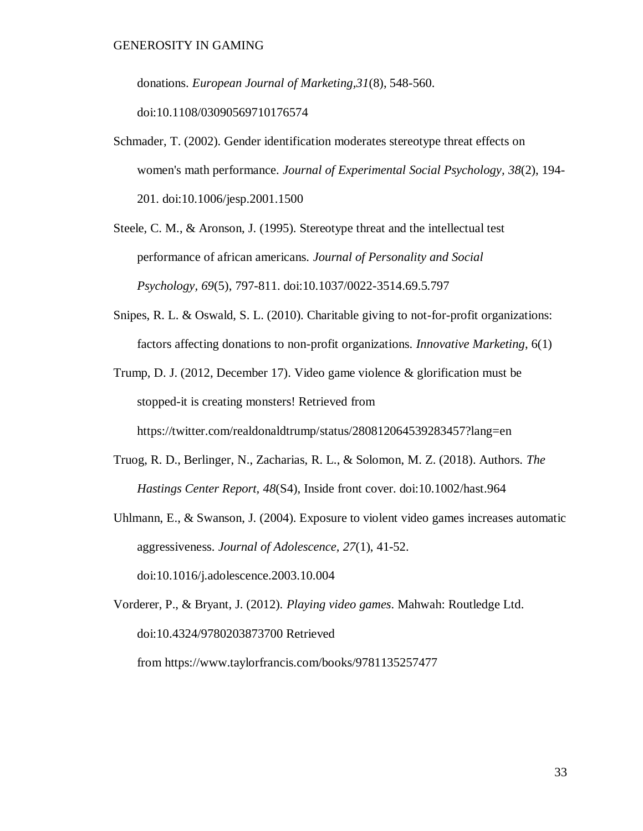donations. *European Journal of Marketing,31*(8), 548-560.

doi:10.1108/03090569710176574

Schmader, T. (2002). Gender identification moderates stereotype threat effects on women's math performance. *Journal of Experimental Social Psychology, 38*(2), 194- 201. doi:10.1006/jesp.2001.1500

Steele, C. M., & Aronson, J. (1995). Stereotype threat and the intellectual test performance of african americans. *Journal of Personality and Social Psychology, 69*(5), 797-811. doi:10.1037/0022-3514.69.5.797

Snipes, R. L. & Oswald, S. L. (2010). Charitable giving to not-for-profit organizations: factors affecting donations to non-profit organizations. *Innovative Marketing*, 6(1)

Trump, D. J. (2012, December 17). Video game violence & glorification must be stopped-it is creating monsters! Retrieved from

https://twitter.com/realdonaldtrump/status/280812064539283457?lang=en

- Truog, R. D., Berlinger, N., Zacharias, R. L., & Solomon, M. Z. (2018). Authors. *The Hastings Center Report, 48*(S4), Inside front cover. doi:10.1002/hast.964
- Uhlmann, E., & Swanson, J. (2004). Exposure to violent video games increases automatic aggressiveness. *Journal of Adolescence, 27*(1), 41-52. doi:10.1016/j.adolescence.2003.10.004

Vorderer, P., & Bryant, J. (2012). *Playing video games*. Mahwah: Routledge Ltd. doi:10.4324/9780203873700 Retrieved from https://www.taylorfrancis.com/books/9781135257477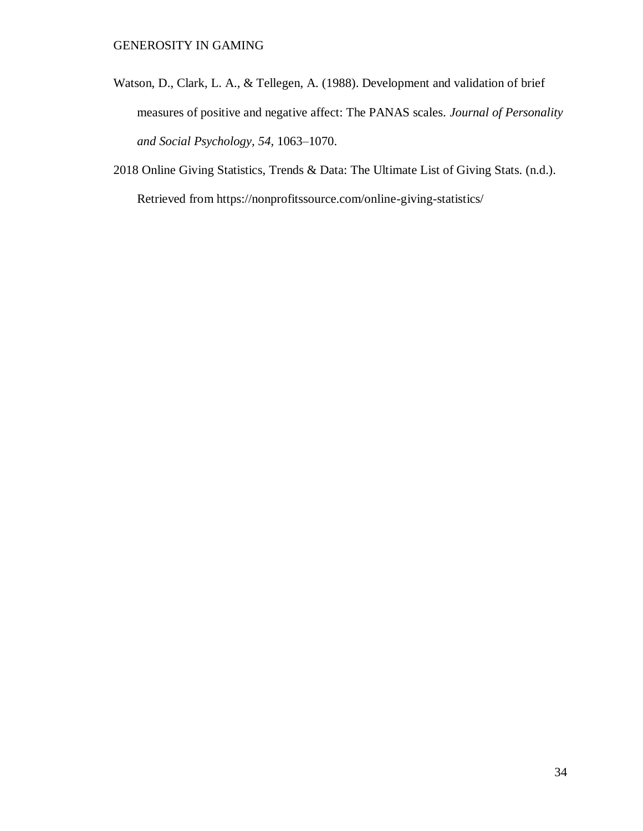- Watson, D., Clark, L. A., & Tellegen, A. (1988). Development and validation of brief measures of positive and negative affect: The PANAS scales. *Journal of Personality and Social Psychology, 54,* 1063–1070.
- 2018 Online Giving Statistics, Trends & Data: The Ultimate List of Giving Stats. (n.d.). Retrieved from https://nonprofitssource.com/online-giving-statistics/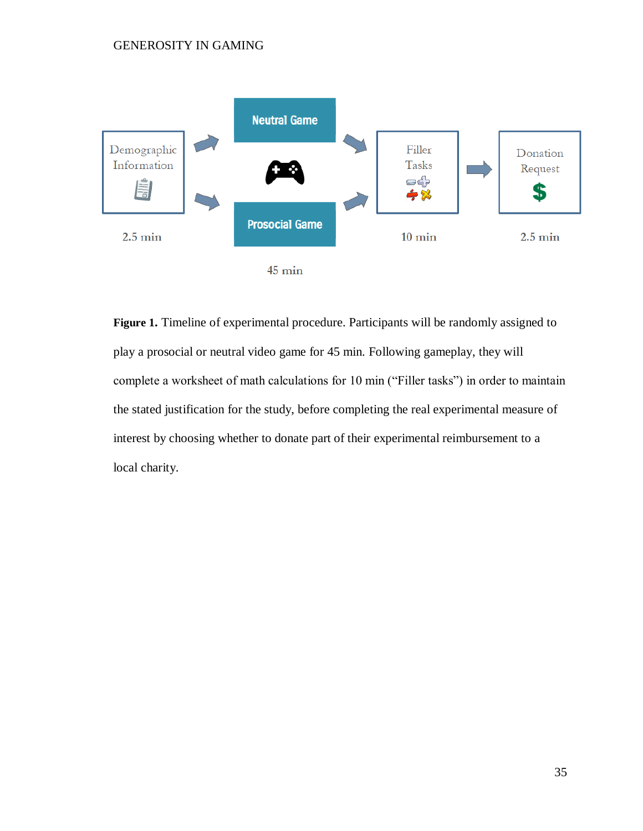

**Figure 1.** Timeline of experimental procedure. Participants will be randomly assigned to play a prosocial or neutral video game for 45 min. Following gameplay, they will complete a worksheet of math calculations for 10 min ("Filler tasks") in order to maintain the stated justification for the study, before completing the real experimental measure of interest by choosing whether to donate part of their experimental reimbursement to a local charity.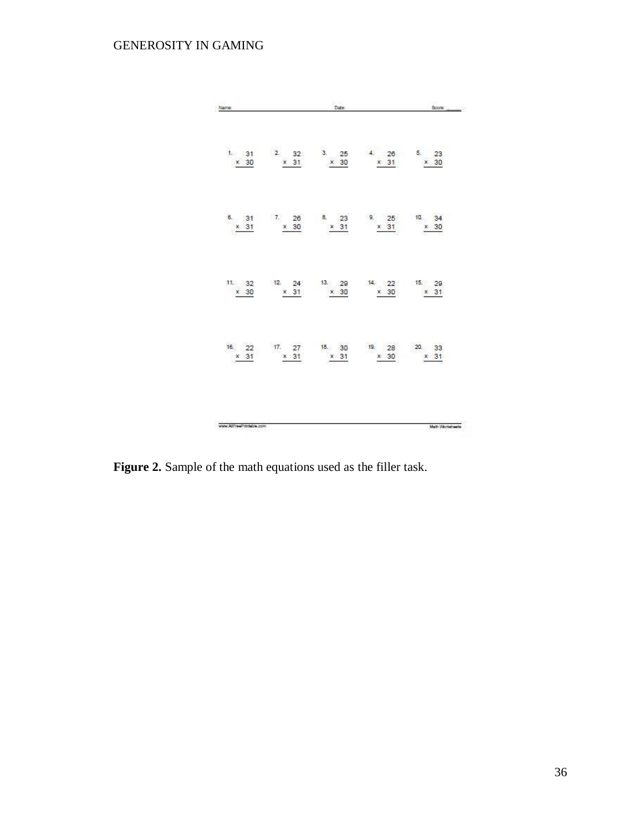| Name:                    |             | Date:       |                                                         | Score:           |
|--------------------------|-------------|-------------|---------------------------------------------------------|------------------|
| $\times$ 30              | $\times$ 31 | $\times$ 30 | 1. 31 2. 32 3. 25 4. 26 5. 23<br>x 31 x 30              |                  |
| 6. 31<br>$\times$ 31     |             |             | 7. 26 8. 23 9. 25 10. 34<br>$x$ 30 $x$ 31 $x$ 31 $x$ 30 |                  |
| $\times$ 30              | × 31        | $\times$ 30 | 11. 32 12 24 13. 29 14. 22 15. 29<br>$\times$ 30        | $\times$ 31      |
| 16. 22<br>$\times$ 31    | $\times$ 31 | $\times$ 31 | 17. 27 18. 30 19. 28<br>$\times$ 30                     | 20. 33<br>$x$ 31 |
| www.AllFreePrintsble.com |             |             |                                                         | Math Worksheets  |

**Figure 2.** Sample of the math equations used as the filler task.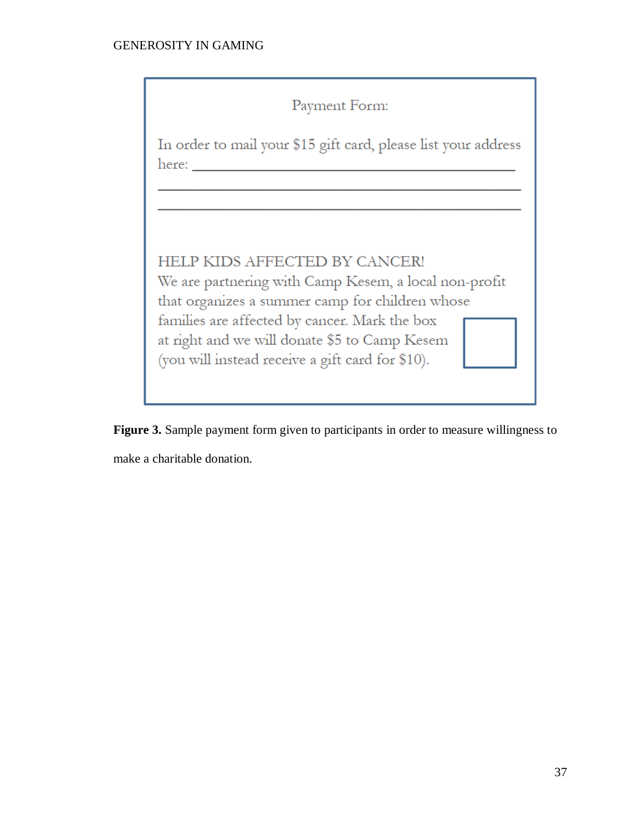| Payment Form:                                                                                                                                                                                                                                                                                   |
|-------------------------------------------------------------------------------------------------------------------------------------------------------------------------------------------------------------------------------------------------------------------------------------------------|
| In order to mail your \$15 gift card, please list your address<br>here:                                                                                                                                                                                                                         |
|                                                                                                                                                                                                                                                                                                 |
| HELP KIDS AFFECTED BY CANCER!<br>We are partnering with Camp Kesem, a local non-profit<br>that organizes a summer camp for children whose<br>families are affected by cancer. Mark the box<br>at right and we will donate \$5 to Camp Kesem<br>(you will instead receive a gift card for \$10). |

**Figure 3.** Sample payment form given to participants in order to measure willingness to make a charitable donation.